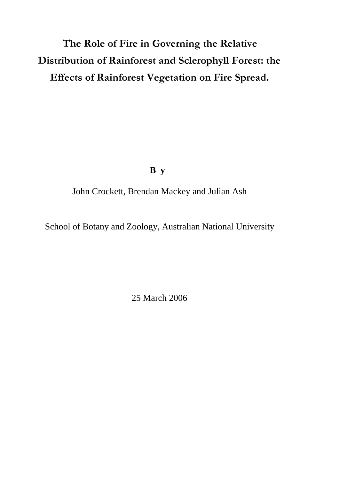# **The Role of Fire in Governing the Relative Distribution of Rainforest and Sclerophyll Forest: the Effects of Rainforest Vegetation on Fire Spread.**

# **B y**

John Crockett, Brendan Mackey and Julian Ash

School of Botany and Zoology, Australian National University

25 March 2006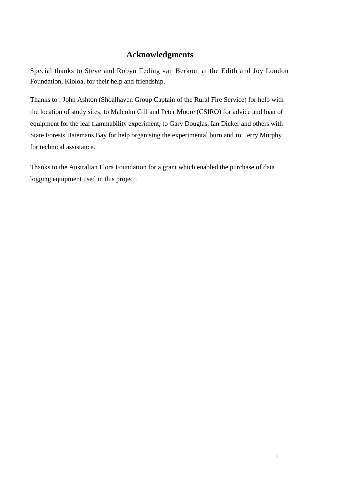# **Acknowledgments**

Special thanks to Steve and Robyn Teding van Berkout at the Edith and Joy London Foundation, Kioloa, for their help and friendship.

Thanks to : John Ashton (Shoalhaven Group Captain of the Rural Fire Service) for help with the location of study sites; to Malcolm Gill and Peter Moore (CSIRO) for advice and loan of equipment for the leaf flammability experiment; to Gary Douglas, Ian Dicker and others with State Forests Batemans Bay for help organising the experimental burn and to Terry Murphy for technical assistance.

Thanks to the Australian Flora Foundation for a grant which enabled the purchase of data logging equipment used in this project.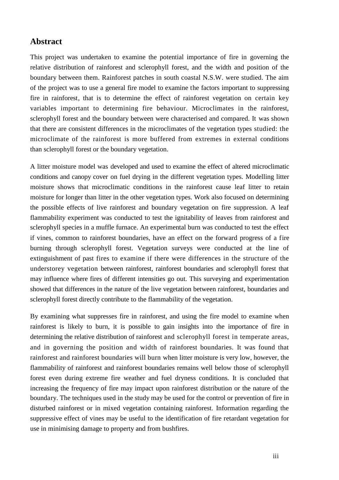#### **Abstract**

This project was undertaken to examine the potential importance of fire in governing the relative distribution of rainforest and sclerophyll forest, and the width and position of the boundary between them. Rainforest patches in south coastal N.S.W. were studied. The aim of the project was to use a general fire model to examine the factors important to suppressing fire in rainforest, that is to determine the effect of rainforest vegetation on certain key variables important to determining fire behaviour. Microclimates in the rainforest, sclerophyll forest and the boundary between were characterised and compared. It was shown that there are consistent differences in the microclimates of the vegetation types studied: the microclimate of the rainforest is more buffered from extremes in external conditions than sclerophyll forest or the boundary vegetation.

A litter moisture model was developed and used to examine the effect of altered microclimatic conditions and canopy cover on fuel drying in the different vegetation types. Modelling litter moisture shows that microclimatic conditions in the rainforest cause leaf litter to retain moisture for longer than litter in the other vegetation types. Work also focused on determining the possible effects of live rainforest and boundary vegetation on fire suppression. A leaf flammability experiment was conducted to test the ignitability of leaves from rainforest and sclerophyll species in a muffle furnace. An experimental burn was conducted to test the effect if vines, common to rainforest boundaries, have an effect on the forward progress of a fire burning through sclerophyll forest. Vegetation surveys were conducted at the line of extinguishment of past fires to examine if there were differences in the structure of the understorey vegetation between rainforest, rainforest boundaries and sclerophyll forest that may influence where fires of different intensities go out. This surveying and experimentation showed that differences in the nature of the live vegetation between rainforest, boundaries and sclerophyll forest directly contribute to the flammability of the vegetation.

By examining what suppresses fire in rainforest, and using the fire model to examine when rainforest is likely to burn, it is possible to gain insights into the importance of fire in determining the relative distribution of rainforest and sclerophyll forest in temperate areas, and in governing the position and width of rainforest boundaries. It was found that rainforest and rainforest boundaries will burn when litter moisture is very low, however, the flammability of rainforest and rainforest boundaries remains well below those of sclerophyll forest even during extreme fire weather and fuel dryness conditions. It is concluded that increasing the frequency of fire may impact upon rainforest distribution or the nature of the boundary. The techniques used in the study may be used for the control or prevention of fire in disturbed rainforest or in mixed vegetation containing rainforest. Information regarding the suppressive effect of vines may be useful to the identification of fire retardant vegetation for use in minimising damage to property and from bushfires.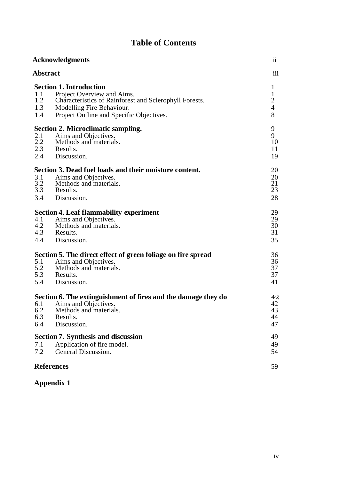# **Table of Contents**

|                          | <b>Acknowledgments</b>                                                                                                                                                                          | $\overline{\mathbf{u}}$                                               |
|--------------------------|-------------------------------------------------------------------------------------------------------------------------------------------------------------------------------------------------|-----------------------------------------------------------------------|
| <b>Abstract</b>          |                                                                                                                                                                                                 | iii                                                                   |
| 1.1<br>1.2<br>1.3<br>1.4 | <b>Section 1. Introduction</b><br>Project Overview and Aims.<br>Characteristics of Rainforest and Sclerophyll Forests.<br>Modelling Fire Behaviour.<br>Project Outline and Specific Objectives. | $\mathbf{1}$<br>$\mathbf{1}$<br>$\overline{2}$<br>$\overline{4}$<br>8 |
| 2.1<br>2.2<br>2.3<br>2.4 | <b>Section 2. Microclimatic sampling.</b><br>Aims and Objectives.<br>Methods and materials.<br>Results.<br>Discussion.                                                                          | 9<br>9<br>10<br>11<br>19                                              |
| 3.1<br>3.2<br>3.3<br>3.4 | Section 3. Dead fuel loads and their moisture content.<br>Aims and Objectives.<br>Methods and materials.<br>Results.<br>Discussion.                                                             | 20<br>20<br>21<br>23<br>28                                            |
| 4.1<br>4.2<br>4.3<br>4.4 | <b>Section 4. Leaf flammability experiment</b><br>Aims and Objectives.<br>Methods and materials.<br>Results.<br>Discussion.                                                                     | 29<br>29<br>30<br>31<br>35                                            |
| 5.1<br>5.2<br>5.4        | Section 5. The direct effect of green foliage on fire spread<br>Aims and Objectives.<br>Methods and materials.<br>5.3 Results.<br>Discussion.                                                   | 36<br>36<br>37<br>37<br>41                                            |
| 6.1<br>6.2<br>6.3<br>6.4 | Section 6. The extinguishment of fires and the damage they do<br>Aims and Objectives.<br>Methods and materials.<br>Results.<br>Discussion.                                                      | 42<br>42<br>43<br>44<br>47                                            |
| 7.1<br>7.2               | <b>Section 7. Synthesis and discussion</b><br>Application of fire model.<br>General Discussion.                                                                                                 | 49<br>49<br>54                                                        |
|                          | <b>References</b>                                                                                                                                                                               | 59                                                                    |

# **Appendix 1**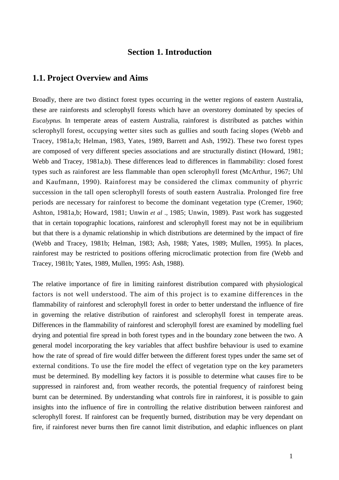#### **Section 1. Introduction**

#### **1.1. Project Overview and Aims**

Broadly, there are two distinct forest types occurring in the wetter regions of eastern Australia, these are rainforests and sclerophyll forests which have an overstorey dominated by species of *Eucalyptus.* In temperate areas of eastern Australia, rainforest is distributed as patches within sclerophyll forest, occupying wetter sites such as gullies and south facing slopes (Webb and Tracey, 1981a,b; Helman, 1983, Yates, 1989, Barrett and Ash, 1992). These two forest types are composed of very different species associations and are structurally distinct (Howard, 1981; Webb and Tracey, 1981a,b). These differences lead to differences in flammability: closed forest types such as rainforest are less flammable than open sclerophyll forest (McArthur, 1967; Uhl and Kaufmann, 1990). Rainforest may be considered the climax community of phyrric succession in the tall open sclerophyll forests of south eastern Australia. Prolonged fire free periods are necessary for rainforest to become the dominant vegetation type (Cremer, 1960; Ashton, 1981a,b; Howard, 1981; Unwin *et al .,* 1985; Unwin, 1989). Past work has suggested that in certain topographic locations, rainforest and sclerophyll forest may not be in equilibrium but that there is a dynamic relationship in which distributions are determined by the impact of fire (Webb and Tracey, 1981b; Helman, 1983; Ash, 1988; Yates, 1989; Mullen, 1995). In places, rainforest may be restricted to positions offering microclimatic protection from fire (Webb and Tracey, 1981b; Yates, 1989, Mullen, 1995: Ash, 1988).

The relative importance of fire in limiting rainforest distribution compared with physiological factors is not well understood. The aim of this project is to examine differences in the flammability of rainforest and sclerophyll forest in order to better understand the influence of fire in governing the relative distribution of rainforest and sclerophyll forest in temperate areas. Differences in the flammability of rainforest and sclerophyll forest are examined by modelling fuel drying and potential fire spread in both forest types and in the boundary zone between the two. A general model incorporating the key variables that affect bushfire behaviour is used to examine how the rate of spread of fire would differ between the different forest types under the same set of external conditions. To use the fire model the effect of vegetation type on the key parameters must be determined. By modelling key factors it is possible to determine what causes fire to be suppressed in rainforest and, from weather records, the potential frequency of rainforest being burnt can be determined. By understanding what controls fire in rainforest, it is possible to gain insights into the influence of fire in controlling the relative distribution between rainforest and sclerophyll forest. If rainforest can be frequently burned, distribution may be very dependant on fire, if rainforest never burns then fire cannot limit distribution, and edaphic influences on plant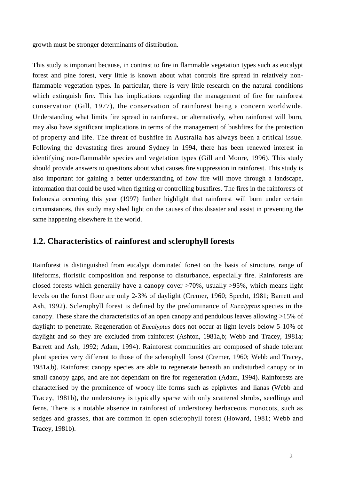growth must be stronger determinants of distribution.

This study is important because, in contrast to fire in flammable vegetation types such as eucalypt forest and pine forest, very little is known about what controls fire spread in relatively nonflammable vegetation types. In particular, there is very little research on the natural conditions which extinguish fire. This has implications regarding the management of fire for rainforest conservation (Gill, 1977), the conservation of rainforest being a concern worldwide. Understanding what limits fire spread in rainforest, or alternatively, when rainforest will burn, may also have significant implications in terms of the management of bushfires for the protection of property and life. The threat of bushfire in Australia has always been a critical issue. Following the devastating fires around Sydney in 1994, there has been renewed interest in identifying non-flammable species and vegetation types (Gill and Moore, 1996). This study should provide answers to questions about what causes fire suppression in rainforest. This study is also important for gaining a better understanding of how fire will move through a landscape, information that could be used when fighting or controlling bushfires. The fires in the rainforests of Indonesia occurring this year (1997) further highlight that rainforest will burn under certain circumstances, this study may shed light on the causes of this disaster and assist in preventing the same happening elsewhere in the world.

#### **1.2. Characteristics of rainforest and sclerophyll forests**

Rainforest is distinguished from eucalypt dominated forest on the basis of structure, range of lifeforms, floristic composition and response to disturbance, especially fire. Rainforests are closed forests which generally have a canopy cover >70%, usually >95%, which means light levels on the forest floor are only 2-3% of daylight (Cremer, 1960; Specht, 1981; Barrett and Ash, 1992). Sclerophyll forest is defined by the predominance of *Eucalyptus* species in the canopy. These share the characteristics of an open canopy and pendulous leaves allowing >15% of daylight to penetrate. Regeneration of *Eucalyptus* does not occur at light levels below 5-10% of daylight and so they are excluded from rainforest (Ashton, 1981a,b; Webb and Tracey, 1981a; Barrett and Ash, 1992; Adam, 1994). Rainforest communities are composed of shade tolerant plant species very different to those of the sclerophyll forest (Cremer, 1960; Webb and Tracey, 1981a,b). Rainforest canopy species are able to regenerate beneath an undisturbed canopy or in small canopy gaps, and are not dependant on fire for regeneration (Adam, 1994). Rainforests are characterised by the prominence of woody life forms such as epiphytes and lianas (Webb and Tracey, 1981b), the understorey is typically sparse with only scattered shrubs, seedlings and ferns. There is a notable absence in rainforest of understorey herbaceous monocots, such as sedges and grasses, that are common in open sclerophyll forest (Howard, 1981; Webb and Tracey, 1981b).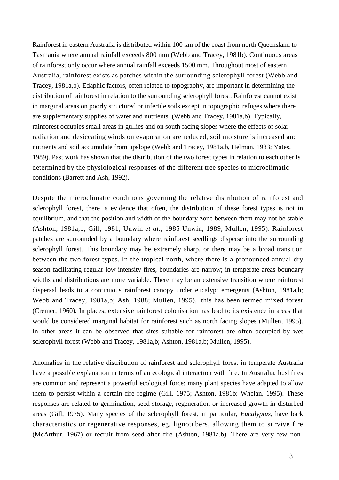Rainforest in eastern Australia is distributed within 100 km of the coast from north Queensland to Tasmania where annual rainfall exceeds 800 mm (Webb and Tracey, 1981b). Continuous areas of rainforest only occur where annual rainfall exceeds 1500 mm. Throughout most of eastern Australia, rainforest exists as patches within the surrounding sclerophyll forest (Webb and Tracey, 1981a,b). Edaphic factors, often related to topography, are important in determining the distribution of rainforest in relation to the surrounding sclerophyll forest. Rainforest cannot exist in marginal areas on poorly structured or infertile soils except in topographic refuges where there are supplementary supplies of water and nutrients. (Webb and Tracey, 1981a,b). Typically, rainforest occupies small areas in gullies and on south facing slopes where the effects of solar radiation and desiccating winds on evaporation are reduced, soil moisture is increased and nutrients and soil accumulate from upslope (Webb and Tracey, 1981a,b, Helman, 1983; Yates, 1989). Past work has shown that the distribution of the two forest types in relation to each other is determined by the physiological responses of the different tree species to microclimatic conditions (Barrett and Ash, 1992).

Despite the microclimatic conditions governing the relative distribution of rainforest and sclerophyll forest, there is evidence that often, the distribution of these forest types is not in equilibrium, and that the position and width of the boundary zone between them may not be stable (Ashton, 1981a,b; Gill, 1981; Unwin *et al.,* 1985 Unwin, 1989; Mullen, 1995). Rainforest patches are surrounded by a boundary where rainforest seedlings disperse into the surrounding sclerophyll forest. This boundary may be extremely sharp, or there may be a broad transition between the two forest types. In the tropical north, where there is a pronounced annual dry season facilitating regular low-intensity fires, boundaries are narrow; in temperate areas boundary widths and distributions are more variable. There may be an extensive transition where rainforest dispersal leads to a continuous rainforest canopy under eucalypt emergents (Ashton, 1981a,b; Webb and Tracey, 1981a,b; Ash, 1988; Mullen, 1995), this has been termed mixed forest (Cremer, 1960). In places, extensive rainforest colonisation has lead to its existence in areas that would be considered marginal habitat for rainforest such as north facing slopes (Mullen, 1995). In other areas it can be observed that sites suitable for rainforest are often occupied by wet sclerophyll forest (Webb and Tracey, 1981a,b; Ashton, 1981a,b; Mullen, 1995).

Anomalies in the relative distribution of rainforest and sclerophyll forest in temperate Australia have a possible explanation in terms of an ecological interaction with fire. In Australia, bushfires are common and represent a powerful ecological force; many plant species have adapted to allow them to persist within a certain fire regime (Gill, 1975; Ashton, 1981b; Whelan, 1995). These responses are related to germination, seed storage, regeneration or increased growth in disturbed areas (Gill, 1975). Many species of the sclerophyll forest, in particular, *Eucalyptus,* have bark characteristics or regenerative responses, eg. lignotubers, allowing them to survive fire (McArthur, 1967) or recruit from seed after fire (Ashton, 1981a,b). There are very few non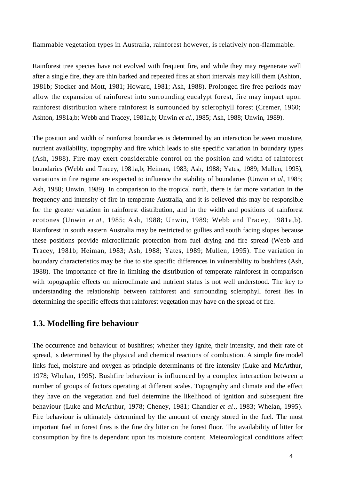flammable vegetation types in Australia, rainforest however, is relatively non-flammable.

Rainforest tree species have not evolved with frequent fire, and while they may regenerate well after a single fire, they are thin barked and repeated fires at short intervals may kill them (Ashton, 1981b; Stocker and Mott, 1981; Howard, 1981; Ash, 1988). Prolonged fire free periods may allow the expansion of rainforest into surrounding eucalypt forest, fire may impact upon rainforest distribution where rainforest is surrounded by sclerophyll forest (Cremer, 1960; Ashton, 1981a,b; Webb and Tracey, 1981a,b; Unwin *et al*., 1985; Ash, 1988; Unwin, 1989).

The position and width of rainforest boundaries is determined by an interaction between moisture, nutrient availability, topography and fire which leads to site specific variation in boundary types (Ash, 1988). Fire may exert considerable control on the position and width of rainforest boundaries (Webb and Tracey, 1981a,b; Heiman, 1983; Ash, 1988; Yates, 1989; Mullen, 1995), variations in fire regime are expected to influence the stability of boundaries (Unwin *et al*., 1985; Ash, 1988; Unwin, 1989). In comparison to the tropical north, there is far more variation in the frequency and intensity of fire in temperate Australia, and it is believed this may be responsible for the greater variation in rainforest distribution, and in the width and positions of rainforest ecotones (Unwin *et al*.*,* 1985; Ash, 1988; Unwin, 1989; Webb and Tracey, 1981a,b). Rainforest in south eastern Australia may be restricted to gullies and south facing slopes because these positions provide microclimatic protection from fuel drying and fire spread (Webb and Tracey, 1981b; Heiman, 1983; Ash, 1988; Yates, 1989; Mullen, 1995). The variation in boundary characteristics may be due to site specific differences in vulnerability to bushfires (Ash, 1988). The importance of fire in limiting the distribution of temperate rainforest in comparison with topographic effects on microclimate and nutrient status is not well understood. The key to understanding the relationship between rainforest and surrounding sclerophyll forest lies in determining the specific effects that rainforest vegetation may have on the spread of fire.

#### **1.3. Modelling fire behaviour**

The occurrence and behaviour of bushfires; whether they ignite, their intensity, and their rate of spread, is determined by the physical and chemical reactions of combustion. A simple fire model links fuel, moisture and oxygen as principle determinants of fire intensity (Luke and McArthur, 1978; Whelan, 1995). Bushfire behaviour is influenced by a complex interaction between a number of groups of factors operating at different scales. Topography and climate and the effect they have on the vegetation and fuel determine the likelihood of ignition and subsequent fire behaviour (Luke and McArthur, 1978; Cheney, 1981; Chandler *et al*., 1983; Whelan, 1995). Fire behaviour is ultimately determined by the amount of energy stored in the fuel. The most important fuel in forest fires is the fine dry litter on the forest floor. The availability of litter for consumption by fire is dependant upon its moisture content. Meteorological conditions affect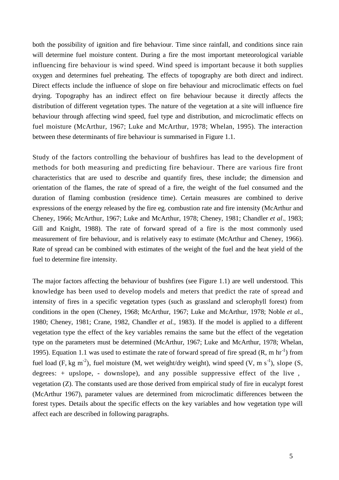both the possibility of ignition and fire behaviour. Time since rainfall, and conditions since rain will determine fuel moisture content. During a fire the most important meteorological variable influencing fire behaviour is wind speed. Wind speed is important because it both supplies oxygen and determines fuel preheating. The effects of topography are both direct and indirect. Direct effects include the influence of slope on fire behaviour and microclimatic effects on fuel drying. Topography has an indirect effect on fire behaviour because it directly affects the distribution of different vegetation types. The nature of the vegetation at a site will influence fire behaviour through affecting wind speed, fuel type and distribution, and microclimatic effects on fuel moisture (McArthur, 1967; Luke and McArthur, 1978; Whelan, 1995). The interaction between these determinants of fire behaviour is summarised in Figure 1.1.

Study of the factors controlling the behaviour of bushfires has lead to the development of methods for both measuring and predicting fire behaviour. There are various fire front characteristics that are used to describe and quantify fires, these include; the dimension and orientation of the flames, the rate of spread of a fire, the weight of the fuel consumed and the duration of flaming combustion (residence time). Certain measures are combined to derive expressions of the energy released by the fire eg. combustion rate and fire intensity (McArthur and Cheney, 1966; McArthur, 1967; Luke and McArthur, 1978; Cheney, 1981; Chandler *et al*., 1983; Gill and Knight, 1988). The rate of forward spread of a fire is the most commonly used measurement of fire behaviour, and is relatively easy to estimate (McArthur and Cheney, 1966). Rate of spread can be combined with estimates of the weight of the fuel and the heat yield of the fuel to determine fire intensity.

The major factors affecting the behaviour of bushfires (see Figure 1.1) are well understood. This knowledge has been used to develop models and meters that predict the rate of spread and intensity of fires in a specific vegetation types (such as grassland and sclerophyll forest) from conditions in the open (Cheney, 1968; McArthur, 1967; Luke and McArthur, 1978; Noble *et a*l.*,* 1980; Cheney, 1981; Crane, 1982, Chandler *et al.,* 1983). If the model is applied to a different vegetation type the effect of the key variables remains the same but the effect of the vegetation type on the parameters must be determined (McArthur, 1967; Luke and McArthur, 1978; Whelan, 1995). Equation 1.1 was used to estimate the rate of forward spread of fire spread  $(R, m hr^{-1})$  from fuel load (F, kg m<sup>-2</sup>), fuel moisture (M, wet weight/dry weight), wind speed (V, m s<sup>-1</sup>), slope (S, degrees: + upslope, - downslope), and any possible suppressive effect of the live , vegetation (Z). The constants used are those derived from empirical study of fire in eucalypt forest (McArthur 1967), parameter values are determined from microclimatic differences between the forest types. Details about the specific effects on the key variables and how vegetation type will affect each are described in following paragraphs.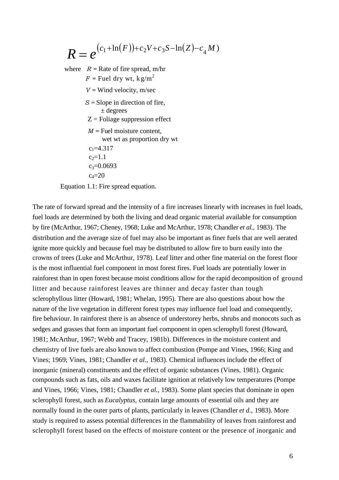$$
R = e^{(c_1 + \ln(F)) + c_2 V + c_3 S - \ln(Z) - c_4 M)}
$$

where  $R =$  Rate of fire spread, m/hr  $F =$ Fuel dry wt,  $k \varrho/m^2$ *V =* Wind velocity, m/sec *S =* Slope in direction of fire, ± degrees  $Z =$ Foliage suppression effect *M =* Fuel moisture content, wet wt as proportion dry wt  $c_1 = 4.317$  $c_2=1.1$  $c_3 = 0.0693$  $c_4=20$ 

Equation 1.1: Fire spread equation.

The rate of forward spread and the intensity of a fire increases linearly with increases in fuel loads, fuel loads are determined by both the living and dead organic material available for consumption by fire (McArthur, 1967; Cheney, 1968; Luke and McArthur, 1978; Chandler *et al.,* 1983). The distribution and the average size of fuel may also be important as finer fuels that are well aerated ignite more quickly and because fuel may be distributed to allow fire to burn easily into the crowns of trees (Luke and McArthur, 1978). Leaf litter and other fine material on the forest floor is the most influential fuel component in most forest fires. Fuel loads are potentially lower in rainforest than in open forest because moist conditions allow for the rapid decomposition of ground litter and because rainforest leaves are thinner and decay faster than tough sclerophyllous litter (Howard, 1981; Whelan, 1995). There are also questions about how the nature of the live vegetation in different forest types may influence fuel load and consequently, fire behaviour. In rainforest there is an absence of understorey herbs, shrubs and monocots such as sedges and grasses that form an important fuel component in open sclerophyll forest (Howard, 1981; McArthur, 1967; Webb and Tracey, 1981b). Differences in the moisture content and chemistry of live fuels are also known to affect combustion (Pompe and Vines, 1966; King and Vines; 1969; Vines, 1981; Chandler *et al.,* 1983). Chemical influences include the effect of inorganic (mineral) constituents and the effect of organic substances (Vines, 1981). Organic compounds such as fats, oils and waxes facilitate ignition at relatively low temperatures (Pompe and Vines, 1966; Vines, 1981; Chandler *et al.,* 1983). Some plant species that dominate in open sclerophyll forest, such as *Eucalyptus,* contain large amounts of essential oils and they are normally found in the outer parts of plants, particularly in leaves (Chandler *et d.,* 1983). More study is required to assess potential differences in the flammability of leaves from rainforest and sclerophyll forest based on the effects of moisture content or the presence of inorganic and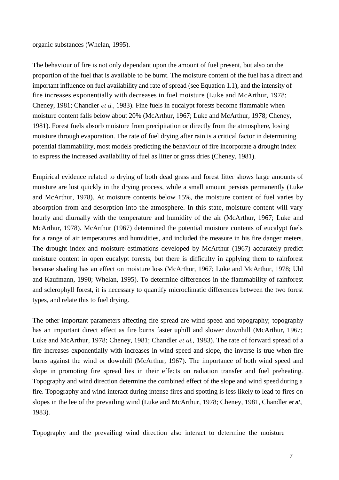organic substances (Whelan, 1995).

The behaviour of fire is not only dependant upon the amount of fuel present, but also on the proportion of the fuel that is available to be burnt. The moisture content of the fuel has a direct and important influence on fuel availability and rate of spread (see Equation 1.1), and the intensity of fire increases exponentially with decreases in fuel moisture (Luke and McArthur, 1978; Cheney, 1981; Chandler *et d.,* 1983). Fine fuels in eucalypt forests become flammable when moisture content falls below about 20% (McArthur, 1967; Luke and McArthur, 1978; Cheney, 1981). Forest fuels absorb moisture from precipitation or directly from the atmosphere, losing moisture through evaporation. The rate of fuel drying after rain is a critical factor in determining potential flammability, most models predicting the behaviour of fire incorporate a drought index to express the increased availability of fuel as litter or grass dries (Cheney, 1981).

Empirical evidence related to drying of both dead grass and forest litter shows large amounts of moisture are lost quickly in the drying process, while a small amount persists permanently (Luke and McArthur, 1978). At moisture contents below 15%, the moisture content of fuel varies by absorption from and desorption into the atmosphere. In this state, moisture content will vary hourly and diurnally with the temperature and humidity of the air (McArthur, 1967; Luke and McArthur, 1978). McArthur (1967) determined the potential moisture contents of eucalypt fuels for a range of air temperatures and humidities, and included the measure in his fire danger meters. The drought index and moisture estimations developed by McArthur (1967) accurately predict moisture content in open eucalypt forests, but there is difficulty in applying them to rainforest because shading has an effect on moisture loss (McArthur, 1967; Luke and McArthur, 1978; Uhl and Kaufmann, 1990; Whelan, 1995). To determine differences in the flammability of rainforest and sclerophyll forest, it is necessary to quantify microclimatic differences between the two forest types, and relate this to fuel drying.

The other important parameters affecting fire spread are wind speed and topography; topography has an important direct effect as fire burns faster uphill and slower downhill (McArthur, 1967; Luke and McArthur, 1978; Cheney, 1981; Chandler *et al*., 1983). The rate of forward spread of a fire increases exponentially with increases in wind speed and slope, the inverse is true when fire burns against the wind or downhill (McArthur, 1967). The importance of both wind speed and slope in promoting fire spread lies in their effects on radiation transfer and fuel preheating. Topography and wind direction determine the combined effect of the slope and wind speed during a fire. Topography and wind interact during intense fires and spotting is less likely to lead to fires on slopes in the lee of the prevailing wind (Luke and McArthur, 1978; Cheney, 1981, Chandler *et al.,* 1983).

Topography and the prevailing wind direction also interact to determine the moisture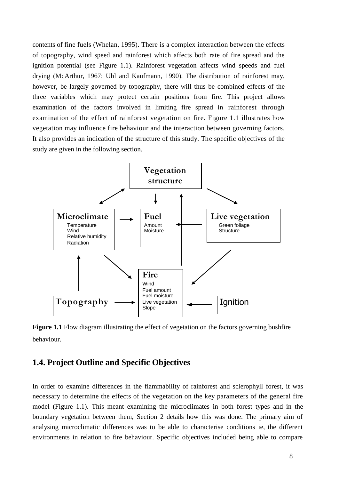contents of fine fuels (Whelan, 1995). There is a complex interaction between the effects of topography, wind speed and rainforest which affects both rate of fire spread and the ignition potential (see Figure 1.1). Rainforest vegetation affects wind speeds and fuel drying (McArthur, 1967; Uhl and Kaufmann, 1990). The distribution of rainforest may, however, be largely governed by topography, there will thus be combined effects of the three variables which may protect certain positions from fire. This project allows examination of the factors involved in limiting fire spread in rainforest through examination of the effect of rainforest vegetation on fire. Figure 1.1 illustrates how vegetation may influence fire behaviour and the interaction between governing factors. It also provides an indication of the structure of this study. The specific objectives of the study are given in the following section.



**Figure 1.1** Flow diagram illustrating the effect of vegetation on the factors governing bushfire behaviour.

## **1.4. Project Outline and Specific Objectives**

In order to examine differences in the flammability of rainforest and sclerophyll forest, it was necessary to determine the effects of the vegetation on the key parameters of the general fire model (Figure 1.1). This meant examining the microclimates in both forest types and in the boundary vegetation between them, Section 2 details how this was done. The primary aim of analysing microclimatic differences was to be able to characterise conditions ie, the different environments in relation to fire behaviour. Specific objectives included being able to compare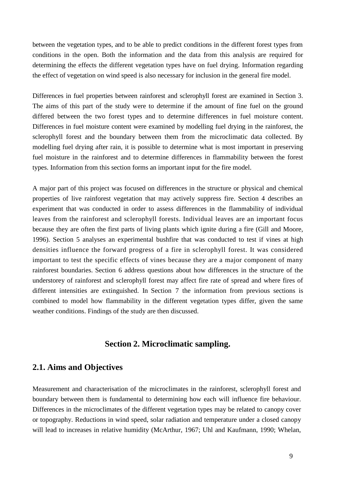between the vegetation types, and to be able to predict conditions in the different forest types from conditions in the open. Both the information and the data from this analysis are required for determining the effects the different vegetation types have on fuel drying. Information regarding the effect of vegetation on wind speed is also necessary for inclusion in the general fire model.

Differences in fuel properties between rainforest and sclerophyll forest are examined in Section 3. The aims of this part of the study were to determine if the amount of fine fuel on the ground differed between the two forest types and to determine differences in fuel moisture content. Differences in fuel moisture content were examined by modelling fuel drying in the rainforest, the sclerophyll forest and the boundary between them from the microclimatic data collected. By modelling fuel drying after rain, it is possible to determine what is most important in preserving fuel moisture in the rainforest and to determine differences in flammability between the forest types. Information from this section forms an important input for the fire model.

A major part of this project was focused on differences in the structure or physical and chemical properties of live rainforest vegetation that may actively suppress fire. Section 4 describes an experiment that was conducted in order to assess differences in the flammability of individual leaves from the rainforest and sclerophyll forests. Individual leaves are an important focus because they are often the first parts of living plants which ignite during a fire (Gill and Moore, 1996). Section 5 analyses an experimental bushfire that was conducted to test if vines at high densities influence the forward progress of a fire in sclerophyll forest. It was considered important to test the specific effects of vines because they are a major component of many rainforest boundaries. Section 6 address questions about how differences in the structure of the understorey of rainforest and sclerophyll forest may affect fire rate of spread and where fires of different intensities are extinguished. In Section 7 the information from previous sections is combined to model how flammability in the different vegetation types differ, given the same weather conditions. Findings of the study are then discussed.

#### **Section 2. Microclimatic sampling.**

#### **2.1. Aims and Objectives**

Measurement and characterisation of the microclimates in the rainforest, sclerophyll forest and boundary between them is fundamental to determining how each will influence fire behaviour. Differences in the microclimates of the different vegetation types may be related to canopy cover or topography. Reductions in wind speed, solar radiation and temperature under a closed canopy will lead to increases in relative humidity (McArthur, 1967; Uhl and Kaufmann, 1990; Whelan,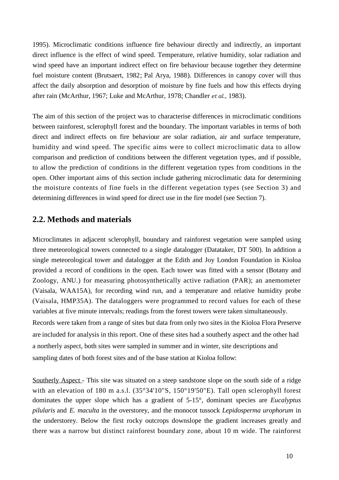1995). Microclimatic conditions influence fire behaviour directly and indirectly, an important direct influence is the effect of wind speed. Temperature, relative humidity, solar radiation and wind speed have an important indirect effect on fire behaviour because together they determine fuel moisture content (Brutsaert, 1982; Pal Arya, 1988). Differences in canopy cover will thus affect the daily absorption and desorption of moisture by fine fuels and how this effects drying after rain (McArthur, 1967; Luke and McArthur, 1978; Chandler *et al.,* 1983).

The aim of this section of the project was to characterise differences in microclimatic conditions between rainforest, sclerophyll forest and the boundary. The important variables in terms of both direct and indirect effects on fire behaviour are solar radiation, air and surface temperature, humidity and wind speed. The specific aims were to collect microclimatic data to allow comparison and prediction of conditions between the different vegetation types, and if possible, to allow the prediction of conditions in the different vegetation types from conditions in the open. Other important aims of this section include gathering microclimatic data for determining the moisture contents of fine fuels in the different vegetation types (see Section 3) and determining differences in wind speed for direct use in the fire model (see Section 7).

# **2.2. Methods and materials**

Microclimates in adjacent sclerophyll, boundary and rainforest vegetation were sampled using three meteorological towers connected to a single datalogger (Datataker, DT 500). In addition a single meteorological tower and datalogger at the Edith and Joy London Foundation in Kioloa provided a record of conditions in the open. Each tower was fitted with a sensor (Botany and Zoology, ANU.) for measuring photosynthetically active radiation (PAR); an anemometer (Vaisala, WAA15A), for recording wind run, and a temperature and relative humidity probe (Vaisala, HMP35A). The dataloggers were programmed to record values for each of these variables at five minute intervals; readings from the forest towers were taken simultaneously. Records were taken from a range of sites but data from only two sites in the Kioloa Flora Preserve are included for analysis in this report. One of these sites had a southerly aspect and the other had a northerly aspect, both sites were sampled in summer and in winter, site descriptions and sampling dates of both forest sites and of the base station at Kioloa follow:

Southerly Aspect - This site was situated on a steep sandstone slope on the south side of a ridge with an elevation of 180 m a.s.l. (35°34'10"S, 150°19'50"E). Tall open sclerophyll forest dominates the upper slope which has a gradient of 5-15°, dominant species are *Eucalyptus pilularis* and *E. maculta* in the overstorey, and the monocot tussock *Lepidosperma urophorum* in the understorey. Below the first rocky outcrops downslope the gradient increases greatly and there was a narrow but distinct rainforest boundary zone, about 10 m wide. The rainforest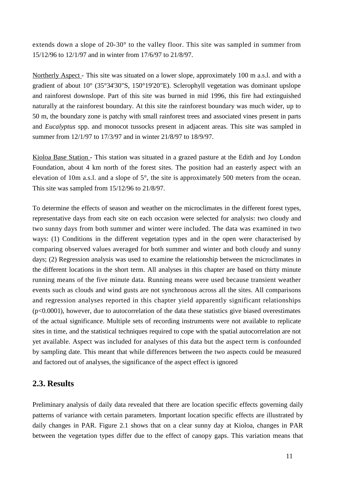extends down a slope of 20-30° to the valley floor. This site was sampled in summer from 15/12/96 to 12/1/97 and in winter from 17/6/97 to 21/8/97.

Northerly Aspect - This site was situated on a lower slope, approximately 100 m a.s.l. and with a gradient of about 10° (35°34'30"S, 150°19'20"E). Sclerophyll vegetation was dominant upslope and rainforest downslope. Part of this site was burned in mid 1996, this fire had extinguished naturally at the rainforest boundary. At this site the rainforest boundary was much wider, up to 50 m, the boundary zone is patchy with small rainforest trees and associated vines present in parts and *Eucalyptus* spp. and monocot tussocks present in adjacent areas. This site was sampled in summer from 12/1/97 to 17/3/97 and in winter 21/8/97 to 18/9/97.

Kioloa Base Station - This station was situated in a grazed pasture at the Edith and Joy London Foundation, about 4 km north of the forest sites. The position had an easterly aspect with an elevation of 10m a.s.l. and a slope of 5°, the site is approximately 500 meters from the ocean. This site was sampled from 15/12/96 to 21/8/97.

To determine the effects of season and weather on the microclimates in the different forest types, representative days from each site on each occasion were selected for analysis: two cloudy and two sunny days from both summer and winter were included. The data was examined in two ways: (1) Conditions in the different vegetation types and in the open were characterised by comparing observed values averaged for both summer and winter and both cloudy and sunny days; (2) Regression analysis was used to examine the relationship between the microclimates in the different locations in the short term. All analyses in this chapter are based on thirty minute running means of the five minute data. Running means were used because transient weather events such as clouds and wind gusts are not synchronous across all the sites. All comparisons and regression analyses reported in this chapter yield apparently significant relationships (p<0.0001), however, due to autocorrelation of the data these statistics give biased overestimates of the actual significance. Multiple sets of recording instruments were not available to replicate sites in time, and the statistical techniques required to cope with the spatial autocorrelation are not yet available. Aspect was included for analyses of this data but the aspect term is confounded by sampling date. This meant that while differences between the two aspects could be measured and factored out of analyses, the significance of the aspect effect is ignored

## **2.3. Results**

Preliminary analysis of daily data revealed that there are location specific effects governing daily patterns of variance with certain parameters. Important location specific effects are illustrated by daily changes in PAR. Figure 2.1 shows that on a clear sunny day at Kioloa, changes in PAR between the vegetation types differ due to the effect of canopy gaps. This variation means that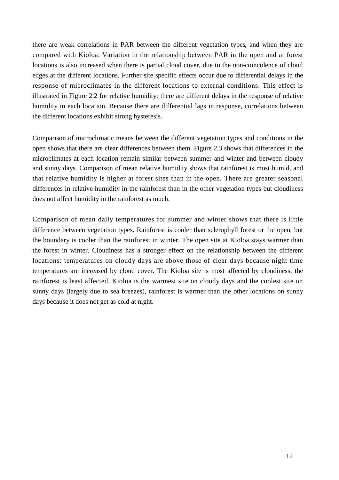there are weak correlations in PAR between the different vegetation types, and when they are compared with Kioloa. Variation in the relationship between PAR in the open and at forest locations is also increased when there is partial cloud cover, due to the non-coincidence of cloud edges at the different locations. Further site specific effects occur due to differential delays in the response of microclimates in the different locations to external conditions. This effect is illustrated in Figure 2.2 for relative humidity: there are different delays in the response of relative humidity in each location. Because there are differential lags in response, correlations between the different locations exhibit strong hysteresis.

Comparison of microclimatic means between the different vegetation types and conditions in the open shows that there are clear differences between them. Figure 2.3 shows that differences in the microclimates at each location remain similar between summer and winter and between cloudy and sunny days. Comparison of mean relative humidity shows that rainforest is most humid, and that relative humidity is higher at forest sites than in the open. There are greater seasonal differences in relative humidity in the rainforest than in the other vegetation types but cloudiness does not affect humidity in the rainforest as much.

Comparison of mean daily temperatures for summer and winter shows that there is little difference between vegetation types. Rainforest is cooler than sclerophyll forest or the open, but the boundary is cooler than the rainforest in winter. The open site at Kioloa stays warmer than the forest in winter. Cloudiness has a stronger effect on the relationship between the different locations: temperatures on cloudy days are above those of clear days because night time temperatures are increased by cloud cover. The Kioloa site is most affected by cloudiness, the rainforest is least affected. Kioloa is the warmest site on cloudy days and the coolest site on sunny days (largely due to sea breezes), rainforest is warmer than the other locations on sunny days because it does not get as cold at night.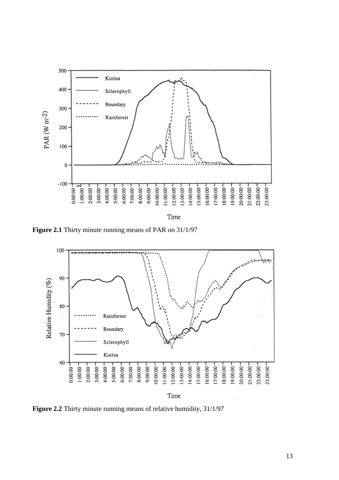

Time

**Figure 2.1** Thirty minute running means of PAR on 31/1/97



**Figure 2.2** Thirty minute running means of relative humidity, 31/1/97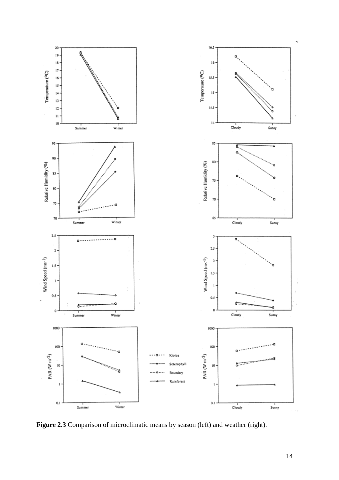

**Figure 2.3** Comparison of microclimatic means by season (left) and weather (right).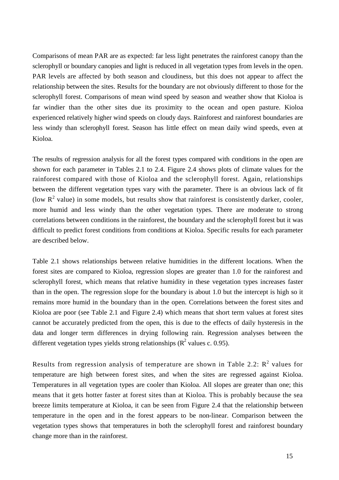Comparisons of mean PAR are as expected: far less light penetrates the rainforest canopy than the sclerophyll or boundary canopies and light is reduced in all vegetation types from levels in the open. PAR levels are affected by both season and cloudiness, but this does not appear to affect the relationship between the sites. Results for the boundary are not obviously different to those for the sclerophyll forest. Comparisons of mean wind speed by season and weather show that Kioloa is far windier than the other sites due its proximity to the ocean and open pasture. Kioloa experienced relatively higher wind speeds on cloudy days. Rainforest and rainforest boundaries are less windy than sclerophyll forest. Season has little effect on mean daily wind speeds, even at Kioloa.

The results of regression analysis for all the forest types compared with conditions in the open are shown for each parameter in Tables 2.1 to 2.4. Figure 2.4 shows plots of climate values for the rainforest compared with those of Kioloa and the sclerophyll forest. Again, relationships between the different vegetation types vary with the parameter. There is an obvious lack of fit (low  $\mathbb{R}^2$  value) in some models, but results show that rainforest is consistently darker, cooler, more humid and less windy than the other vegetation types. There are moderate to strong correlations between conditions in the rainforest, the boundary and the sclerophyll forest but it was difficult to predict forest conditions from conditions at Kioloa. Specific results for each parameter are described below.

Table 2.1 shows relationships between relative humidities in the different locations. When the forest sites are compared to Kioloa, regression slopes are greater than 1.0 for the rainforest and sclerophyll forest, which means that relative humidity in these vegetation types increases faster than in the open. The regression slope for the boundary is about 1.0 but the intercept is high so it remains more humid in the boundary than in the open. Correlations between the forest sites and Kioloa are poor (see Table 2.1 and Figure 2.4) which means that short term values at forest sites cannot be accurately predicted from the open, this is due to the effects of daily hysteresis in the data and longer term differences in drying following rain. Regression analyses between the different vegetation types yields strong relationships ( $\mathbb{R}^2$  values c. 0.95).

Results from regression analysis of temperature are shown in Table 2.2:  $R^2$  values for temperature are high between forest sites, and when the sites are regressed against Kioloa. Temperatures in all vegetation types are cooler than Kioloa. All slopes are greater than one; this means that it gets hotter faster at forest sites than at Kioloa. This is probably because the sea breeze limits temperature at Kioloa, it can be seen from Figure 2.4 that the relationship between temperature in the open and in the forest appears to be non-linear. Comparison between the vegetation types shows that temperatures in both the sclerophyll forest and rainforest boundary change more than in the rainforest.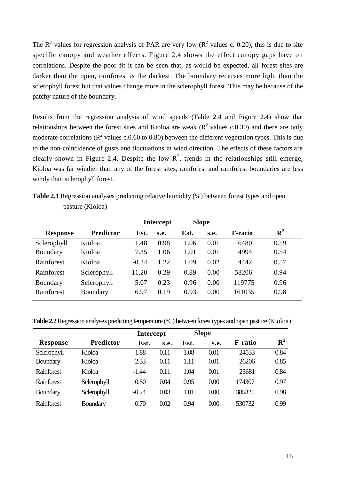The  $R^2$  values for regression analysis of PAR are very low ( $R^2$  values c. 0.20), this is due to site specific canopy and weather effects. Figure 2.4 shows the effect canopy gaps have on correlations. Despite the poor fit it can be seen that, as would be expected, all forest sites are darker than the open, rainforest is the darkest. The boundary receives more light than the sclerophyll forest but that values change more in the sclerophyll forest. This may be because of the patchy nature of the boundary.

Results from the regression analysis of wind speeds (Table 2.4 and Figure 2.4) show that relationships between the forest sites and Kioloa are weak  $(R^2$  values c.0.30) and there are only moderate correlations ( $\mathbb{R}^2$  values c.0.60 to 0.80) between the different vegetation types. This is due to the non-coincidence of gusts and fluctuations in wind direction. The effects of these factors are clearly shown in Figure 2.4. Despite the low  $R^2$ , trends in the relationships still emerge, Kioloa was far windier than any of the forest sites, rainforest and rainforest boundaries are less windy than sclerophyll forest.

|                 |                  |         | <b>Intercept</b><br><b>Slope</b> |      |      |                |             |
|-----------------|------------------|---------|----------------------------------|------|------|----------------|-------------|
| <b>Response</b> | <b>Predictor</b> | Est.    | S.e.                             | Est. | s.e. | <b>F-ratio</b> | ${\bf R}^2$ |
| Sclerophyll     | Kioloa           | 1.48    | 0.98                             | 1.06 | 0.01 | 6480           | 0.59        |
| Boundary        | Kioloa           | 7.35    | 1.06                             | 1.01 | 0.01 | 4994           | 0.54        |
| Rainforest      | Kioloa           | $-0.24$ | 1.22                             | 1.09 | 0.02 | 4442           | 0.57        |
| Rainforest      | Sclerophyll      | 11.20   | 0.29                             | 0.89 | 0.00 | 58206          | 0.94        |
| Boundary        | Sclerophyll      | 5.07    | 0.23                             | 0.96 | 0.00 | 119775         | 0.96        |
| Rainforest      | Boundary         | 6.97    | 0.19                             | 0.93 | 0.00 | 161035         | 0.98        |

**Table 2.1** Regression analyses predicting relative humidity (%) between forest types and open pasture (Kioloa)

**Table 2.2** Regression analyses predicting temperature (°C) between forest types and open pasture (Kioloa)

|                 |                  | Intercept |      | <b>Slope</b> |      |                 |                |
|-----------------|------------------|-----------|------|--------------|------|-----------------|----------------|
| <b>Response</b> | <b>Predictor</b> | Est.      | s.e. | Est.         | s.e. | <b>F</b> -ratio | $\mathbf{R}^2$ |
| Sclerophyll     | Kioloa           | $-1.88$   | 0.11 | 1.08         | 0.01 | 24533           | 0.84           |
| <b>Boundary</b> | Kioloa           | $-2.33$   | 0.11 | 1.11         | 0.01 | 26206           | 0.85           |
| Rainforest      | Kioloa           | $-1.44$   | 0.11 | 1.04         | 0.01 | 23681           | 0.84           |
| Rainforest      | Sclerophyll      | 0.50      | 0.04 | 0.95         | 0.00 | 174307          | 0.97           |
| <b>Boundary</b> | Sclerophyll      | $-0.24$   | 0.03 | 1.01         | 0.00 | 385325          | 0.98           |
| Rainforest      | <b>Boundary</b>  | 0.70      | 0.02 | 0.94         | 0.00 | 530732          | 0.99           |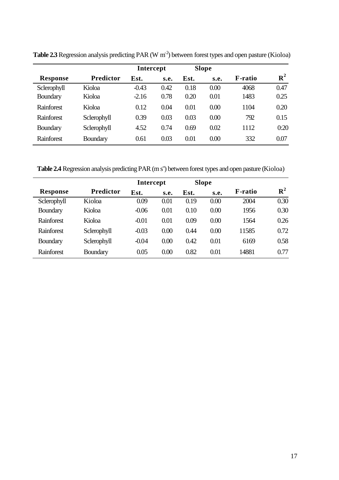|                 |                  | Intercept |      | <b>Slope</b> |      |                 |             |
|-----------------|------------------|-----------|------|--------------|------|-----------------|-------------|
| <b>Response</b> | <b>Predictor</b> | Est.      | s.e. | Est.         | S.e. | <b>F</b> -ratio | ${\bf R}^2$ |
| Sclerophyll     | Kioloa           | $-0.43$   | 0.42 | 0.18         | 0.00 | 4068            | 0.47        |
| <b>Boundary</b> | Kioloa           | $-2.16$   | 0.78 | 0.20         | 0.01 | 1483            | 0.25        |
| Rainforest      | Kioloa           | 0.12      | 0.04 | 0.01         | 0.00 | 1104            | 0.20        |
| Rainforest      | Sclerophyll      | 0.39      | 0.03 | 0.03         | 0.00 | 792             | 0.15        |
| <b>Boundary</b> | Sclerophyll      | 4.52      | 0.74 | 0.69         | 0.02 | 1112            | 0:20        |
| Rainforest      | Boundary         | 0.61      | 0.03 | 0.01         | 0.00 | 332             | 0.07        |

**Table 2.3** Regression analysis predicting PAR (W  $m<sup>2</sup>$ ) between forest types and open pasture (Kioloa)

Table 2.4 Regression analysis predicting PAR (m s<sup>-</sup>) between forest types and open pasture (Kioloa)

|                 |                  | Intercept |      | <b>Slope</b> |      |                 |                |
|-----------------|------------------|-----------|------|--------------|------|-----------------|----------------|
| <b>Response</b> | <b>Predictor</b> | Est.      | S.e. | Est.         | S.e. | <b>F</b> -ratio | $\mathbb{R}^2$ |
| Sclerophyll     | Kioloa           | 0.09      | 0.01 | 0.19         | 0.00 | 2004            | 0.30           |
| <b>Boundary</b> | Kioloa           | $-0.06$   | 0.01 | 0.10         | 0.00 | 1956            | 0.30           |
| Rainforest      | Kioloa           | $-0.01$   | 0.01 | 0.09         | 0.00 | 1564            | 0.26           |
| Rainforest      | Sclerophyll      | $-0.03$   | 0.00 | 0.44         | 0.00 | 11585           | 0.72           |
| Boundary        | Sclerophyll      | $-0.04$   | 0.00 | 0.42         | 0.01 | 6169            | 0.58           |
| Rainforest      | <b>Boundary</b>  | 0.05      | 0.00 | 0.82         | 0.01 | 14881           | 0.77           |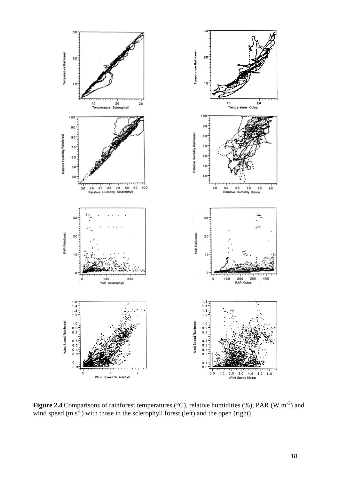

**Figure 2.4** Comparisons of rainforest temperatures ( $\degree$ C), relative humidities (%), PAR (W m<sup>-2</sup>) and wind speed (m  $s^{-1}$ ) with those in the sclerophyll forest (left) and the open (right)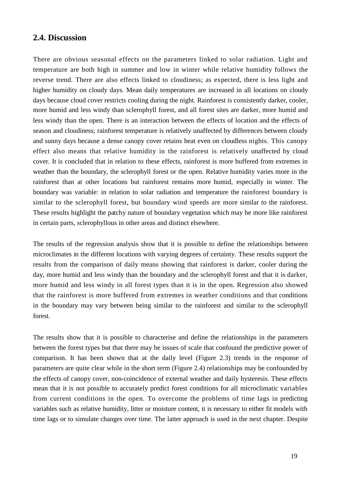#### **2.4. Discussion**

There are obvious seasonal effects on the parameters linked to solar radiation. Light and temperature are both high in summer and low in winter while relative humidity follows the reverse trend. There are also effects linked to cloudiness; as expected, there is less light and higher humidity on cloudy days. Mean daily temperatures are increased in all locations on cloudy days because cloud cover restricts cooling during the night. Rainforest is consistently darker, cooler, more humid and less windy than sclerophyll forest, and all forest sites are darker, more humid and less windy than the open. There is an interaction between the effects of location and the effects of season and cloudiness; rainforest temperature is relatively unaffected by differences between cloudy and sunny days because a dense canopy cover retains heat even on cloudless nights. This canopy effect also means that relative humidity in the rainforest is relatively unaffected by cloud cover. It is concluded that in relation to these effects, rainforest is more buffered from extremes in weather than the boundary, the sclerophyll forest or the open. Relative humidity varies more in the rainforest than at other locations but rainforest remains more humid, especially in winter. The boundary was variable: in relation to solar radiation and temperature the rainforest boundary is similar to the sclerophyll forest, but boundary wind speeds are more similar to the rainforest. These results highlight the patchy nature of boundary vegetation which may be more like rainforest in certain parts, sclerophyllous in other areas and distinct elsewhere.

The results of the regression analysis show that it is possible to define the relationships between microclimates in the different locations with varying degrees of certainty. These results support the results from the comparison of daily means showing that rainforest is darker, cooler during the day, more humid and less windy than the boundary and the sclerophyll forest and that it is darker, more humid and less windy in all forest types than it is in the open. Regression also showed that the rainforest is more buffered from extremes in weather conditions and that conditions in the boundary may vary between being similar to the rainforest and similar to the sclerophyll forest.

The results show that it is possible to characterise and define the relationships in the parameters between the forest types but that there may be issues of scale that confound the predictive power of comparison. It has been shown that at the daily level (Figure 2.3) trends in the response of parameters are quite clear while in the short term (Figure 2.4) relationships may be confounded by the effects of canopy cover, non-coincidence of external weather and daily hysteresis. These effects mean that it is not possible to accurately predict forest conditions for all microclimatic variables from current conditions in the open. To overcome the problems of time lags in predicting variables such as relative humidity, litter or moisture content, it is necessary to either fit models with time lags or to simulate changes over time. The latter approach is used in the next chapter. Despite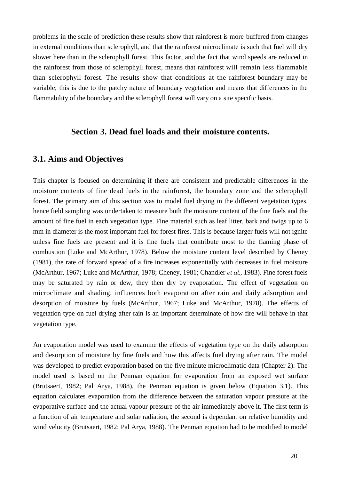problems in the scale of prediction these results show that rainforest is more buffered from changes in external conditions than sclerophyll, and that the rainforest microclimate is such that fuel will dry slower here than in the sclerophyll forest. This factor, and the fact that wind speeds are reduced in the rainforest from those of sclerophyll forest, means that rainforest will remain less flammable than sclerophyll forest. The results show that conditions at the rainforest boundary may be variable; this is due to the patchy nature of boundary vegetation and means that differences in the flammability of the boundary and the sclerophyll forest will vary on a site specific basis.

#### **Section 3. Dead fuel loads and their moisture contents.**

#### **3.1. Aims and Objectives**

This chapter is focused on determining if there are consistent and predictable differences in the moisture contents of fine dead fuels in the rainforest, the boundary zone and the sclerophyll forest. The primary aim of this section was to model fuel drying in the different vegetation types, hence field sampling was undertaken to measure both the moisture content of the fine fuels and the amount of fine fuel in each vegetation type. Fine material such as leaf litter, bark and twigs up to 6 mm in diameter is the most important fuel for forest fires. This is because larger fuels will not ignite unless fine fuels are present and it is fine fuels that contribute most to the flaming phase of combustion (Luke and McArthur, 1978). Below the moisture content level described by Cheney (1981), the rate of forward spread of a fire increases exponentially with decreases in fuel moisture (McArthur, 1967; Luke and McArthur, 1978; Cheney, 1981; Chandler *et al.,* 1983). Fine forest fuels may be saturated by rain or dew, they then dry by evaporation. The effect of vegetation on microclimate and shading, influences both evaporation after rain and daily adsorption and desorption of moisture by fuels (McArthur, 1967; Luke and McArthur, 1978). The effects of vegetation type on fuel drying after rain is an important determinate of how fire will behave in that vegetation type.

An evaporation model was used to examine the effects of vegetation type on the daily adsorption and desorption of moisture by fine fuels and how this affects fuel drying after rain. The model was developed to predict evaporation based on the five minute microclimatic data (Chapter 2). The model used is based on the Penman equation for evaporation from an exposed wet surface (Brutsaert, 1982; Pal Arya, 1988), the Penman equation is given below (Equation 3.1). This equation calculates evaporation from the difference between the saturation vapour pressure at the evaporative surface and the actual vapour pressure of the air immediately above it. The first term is a function of air temperature and solar radiation, the second is dependant on relative humidity and wind velocity (Brutsaert, 1982; Pal Arya, 1988). The Penman equation had to be modified to model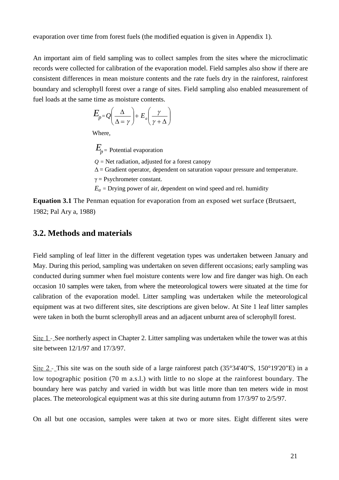evaporation over time from forest fuels (the modified equation is given in Appendix 1).

An important aim of field sampling was to collect samples from the sites where the microclimatic records were collected for calibration of the evaporation model. Field samples also show if there are consistent differences in mean moisture contents and the rate fuels dry in the rainforest, rainforest boundary and sclerophyll forest over a range of sites. Field sampling also enabled measurement of fuel loads at the same time as moisture contents.

$$
E_{p=Q}\left(\frac{\Delta}{\Delta=\gamma}\right)+E_{a}\left(\frac{\gamma}{\gamma+\Delta}\right)
$$

Where,

*E p=* Potential evaporation

*Q =* Net radiation, adjusted for a forest canopy

 $\Delta$  = Gradient operator, dependent on saturation vapour pressure and temperature.

 $\gamma$  = Psychrometer constant.

 $E_a$  = Drying power of air, dependent on wind speed and rel. humidity

**Equation 3.1** The Penman equation for evaporation from an exposed wet surface (Brutsaert, 1982; Pal Ary a, 1988)

#### **3.2. Methods and materials**

Field sampling of leaf litter in the different vegetation types was undertaken between January and May. During this period, sampling was undertaken on seven different occasions; early sampling was conducted during summer when fuel moisture contents were low and fire danger was high. On each occasion 10 samples were taken, from where the meteorological towers were situated at the time for calibration of the evaporation model. Litter sampling was undertaken while the meteorological equipment was at two different sites, site descriptions are given below. At Site 1 leaf litter samples were taken in both the burnt sclerophyll areas and an adjacent unburnt area of sclerophyll forest.

Site 1 - See northerly aspect in Chapter 2. Litter sampling was undertaken while the tower was at this site between 12/1/97 and 17/3/97.

Site 2 - This site was on the south side of a large rainforest patch (35°34'40"S, 150°19'20"E) in a low topographic position (70 m a.s.l.) with little to no slope at the rainforest boundary. The boundary here was patchy and varied in width but was little more than ten meters wide in most places. The meteorological equipment was at this site during autumn from 17/3/97 to 2/5/97.

On all but one occasion, samples were taken at two or more sites. Eight different sites were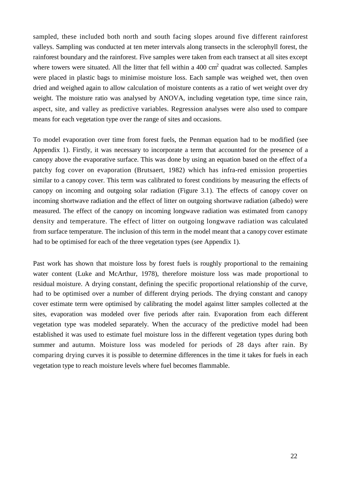sampled, these included both north and south facing slopes around five different rainforest valleys. Sampling was conducted at ten meter intervals along transects in the sclerophyll forest, the rainforest boundary and the rainforest. Five samples were taken from each transect at all sites except where towers were situated. All the litter that fell within a  $400 \text{ cm}^2$  quadrat was collected. Samples were placed in plastic bags to minimise moisture loss. Each sample was weighed wet, then oven dried and weighed again to allow calculation of moisture contents as a ratio of wet weight over dry weight. The moisture ratio was analysed by ANOVA, including vegetation type, time since rain, aspect, site, and valley as predictive variables. Regression analyses were also used to compare means for each vegetation type over the range of sites and occasions.

To model evaporation over time from forest fuels, the Penman equation had to be modified (see Appendix 1). Firstly, it was necessary to incorporate a term that accounted for the presence of a canopy above the evaporative surface. This was done by using an equation based on the effect of a patchy fog cover on evaporation (Brutsaert, 1982) which has infra-red emission properties similar to a canopy cover. This term was calibrated to forest conditions by measuring the effects of canopy on incoming and outgoing solar radiation (Figure 3.1). The effects of canopy cover on incoming shortwave radiation and the effect of litter on outgoing shortwave radiation (albedo) were measured. The effect of the canopy on incoming longwave radiation was estimated from canopy density and temperature. The effect of litter on outgoing longwave radiation was calculated from surface temperature. The inclusion of this term in the model meant that a canopy cover estimate had to be optimised for each of the three vegetation types (see Appendix 1).

Past work has shown that moisture loss by forest fuels is roughly proportional to the remaining water content (Luke and McArthur, 1978), therefore moisture loss was made proportional to residual moisture. A drying constant, defining the specific proportional relationship of the curve, had to be optimised over a number of different drying periods. The drying constant and canopy cover estimate term were optimised by calibrating the model against litter samples collected at the sites, evaporation was modeled over five periods after rain. Evaporation from each different vegetation type was modeled separately. When the accuracy of the predictive model had been established it was used to estimate fuel moisture loss in the different vegetation types during both summer and autumn. Moisture loss was modeled for periods of 28 days after rain. By comparing drying curves it is possible to determine differences in the time it takes for fuels in each vegetation type to reach moisture levels where fuel becomes flammable.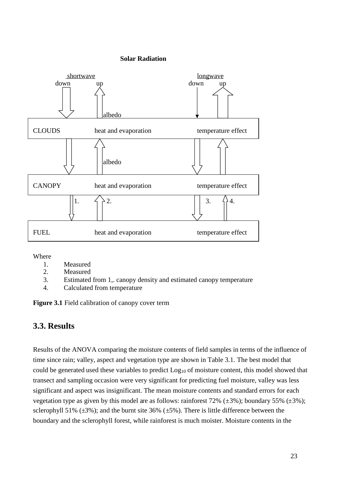#### **Solar Radiation**



Where

- 1. Measured
- 2. Measured
- 3. Estimated from 1,. canopy density and estimated canopy temperature
- 4. Calculated from temperature

**Figure 3.1** Field calibration of canopy cover term

# **3.3. Results**

Results of the ANOVA comparing the moisture contents of field samples in terms of the influence of time since rain; valley, aspect and vegetation type are shown in Table 3.1. The best model that could be generated used these variables to predict Log<sub>10</sub> of moisture content, this model showed that transect and sampling occasion were very significant for predicting fuel moisture, valley was less significant and aspect was insignificant. The mean moisture contents and standard errors for each vegetation type as given by this model are as follows: rainforest 72% ( $\pm$ 3%); boundary 55% ( $\pm$ 3%); sclerophyll 51% ( $\pm$ 3%); and the burnt site 36% ( $\pm$ 5%). There is little difference between the boundary and the sclerophyll forest, while rainforest is much moister. Moisture contents in the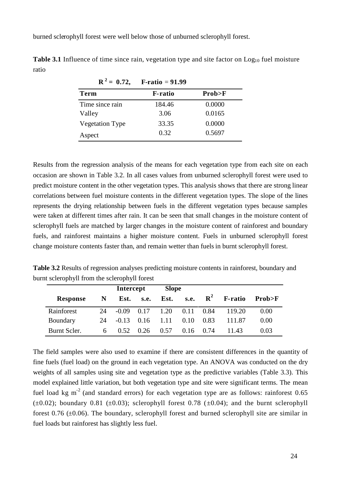burned sclerophyll forest were well below those of unburned sclerophyll forest.

|                        | $R^2 = 0.72$ , F-ratio = 91.99 |        |
|------------------------|--------------------------------|--------|
| Term                   | <b>F</b> -ratio                | Prob>F |
| Time since rain        | 184.46                         | 0.0000 |
| Valley                 | 3.06                           | 0.0165 |
| <b>Vegetation Type</b> | 33.35                          | 0.0000 |
| Aspect                 | 0.32                           | 0.5697 |

**Table 3.1** Influence of time since rain, vegetation type and site factor on Log<sub>10</sub> fuel moisture ratio

Results from the regression analysis of the means for each vegetation type from each site on each occasion are shown in Table 3.2. In all cases values from unburned sclerophyll forest were used to predict moisture content in the other vegetation types. This analysis shows that there are strong linear correlations between fuel moisture contents in the different vegetation types. The slope of the lines represents the drying relationship between fuels in the different vegetation types because samples were taken at different times after rain. It can be seen that small changes in the moisture content of sclerophyll fuels are matched by larger changes in the moisture content of rainforest and boundary fuels, and rainforest maintains a higher moisture content. Fuels in unburned sclerophyll forest change moisture contents faster than, and remain wetter than fuels in burnt sclerophyll forest.

**Table 3.2** Results of regression analyses predicting moisture contents in rainforest, boundary and burnt sclerophyll from the sclerophyll forest

|                 |    | Intercept |      | <b>Slope</b> |             |             |                |        |
|-----------------|----|-----------|------|--------------|-------------|-------------|----------------|--------|
| <b>Response</b> | N  | Est.      | s.e. | Est.         | s.e.        | ${\bf R}^2$ | <b>F-ratio</b> | Prob>F |
| Rainforest      | 24 | $-0.09$   | 0.17 | 1.20         | 0.11        | 0.84        | 119.20         | 0.00   |
| Boundary        | 24 | $-0.13$   | 0.16 | 1.11         | 0.10        | 0.83        | 111.87         | 0.00   |
| Burnt Scler.    | 6  | 0.52      | 0.26 | 0.57         | $0.16$ 0.74 |             | 11.43          | 0.03   |

The field samples were also used to examine if there are consistent differences in the quantity of fine fuels (fuel load) on the ground in each vegetation type. An ANOVA was conducted on the dry weights of all samples using site and vegetation type as the predictive variables (Table 3.3). This model explained little variation, but both vegetation type and site were significant terms. The mean fuel load kg m<sup>-2</sup> (and standard errors) for each vegetation type are as follows: rainforest 0.65  $(\pm 0.02)$ ; boundary 0.81 ( $\pm 0.03$ ); sclerophyll forest 0.78 ( $\pm 0.04$ ); and the burnt sclerophyll forest 0.76  $(\pm 0.06)$ . The boundary, sclerophyll forest and burned sclerophyll site are similar in fuel loads but rainforest has slightly less fuel.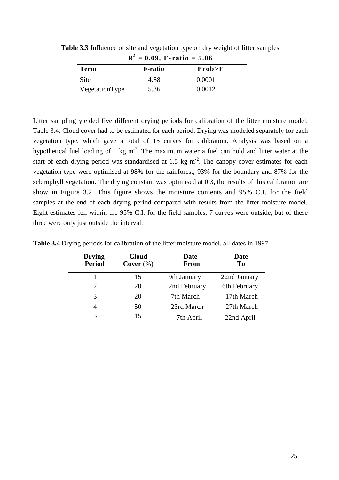| $R^2 = 0.09$ , F-ratio = 5.06 |                |            |  |  |  |  |  |
|-------------------------------|----------------|------------|--|--|--|--|--|
| Term                          | <b>F-ratio</b> | $Prob > F$ |  |  |  |  |  |
| Site                          | 4.88           | 0.0001     |  |  |  |  |  |
| VegetationType                | 5.36           | 0.0012     |  |  |  |  |  |

**Table 3.3** Influence of site and vegetation type on dry weight of litter samples

Litter sampling yielded five different drying periods for calibration of the litter moisture model, Table 3.4. Cloud cover had to be estimated for each period. Drying was modeled separately for each vegetation type, which gave a total of 15 curves for calibration. Analysis was based on a hypothetical fuel loading of 1 kg m<sup>-2</sup>. The maximum water a fuel can hold and litter water at the start of each drying period was standardised at 1.5 kg  $m<sup>2</sup>$ . The canopy cover estimates for each vegetation type were optimised at 98% for the rainforest, 93% for the boundary and 87% for the sclerophyll vegetation. The drying constant was optimised at 0.3, the results of this calibration are show in Figure 3.2. This figure shows the moisture contents and 95% C.I. for the field samples at the end of each drying period compared with results from the litter moisture model. Eight estimates fell within the 95% C.I. for the field samples, 7 curves were outside, but of these three were only just outside the interval.

| <b>Drying</b><br><b>Period</b> | <b>Cloud</b><br>Cover $(\%)$ | Date<br>From | Date<br>T <sub>0</sub> |
|--------------------------------|------------------------------|--------------|------------------------|
|                                | 15                           | 9th January  | 22nd January           |
| 2                              | 20                           | 2nd February | 6th February           |
| 3                              | 20                           | 7th March    | 17th March             |
| 4                              | 50                           | 23rd March   | 27th March             |
| 5                              | 15                           | 7th April    | 22nd April             |

**Table 3.4** Drying periods for calibration of the litter moisture model, all dates in 1997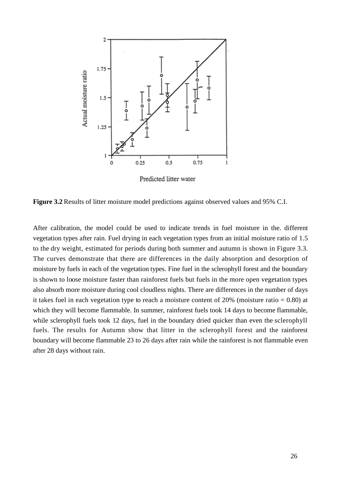

Predicted litter water

**Figure 3.2** Results of litter moisture model predictions against observed values and 95% C.I.

After calibration, the model could be used to indicate trends in fuel moisture in the. different vegetation types after rain. Fuel drying in each vegetation types from an initial moisture ratio of 1.5 to the dry weight, estimated for periods during both summer and autumn is shown in Figure 3.3. The curves demonstrate that there are differences in the daily absorption and desorption of moisture by fuels in each of the vegetation types. Fine fuel in the sclerophyll forest and the boundary is shown to loose moisture faster than rainforest fuels but fuels in the more open vegetation types also absorb more moisture during cool cloudless nights. There are differences in the number of days it takes fuel in each vegetation type to reach a moisture content of  $20\%$  (moisture ratio = 0.80) at which they will become flammable. In summer, rainforest fuels took 14 days to become flammable, while sclerophyll fuels took 12 days, fuel in the boundary dried quicker than even the sclerophyll fuels. The results for Autumn show that litter in the sclerophyll forest and the rainforest boundary will become flammable 23 to 26 days after rain while the rainforest is not flammable even after 28 days without rain.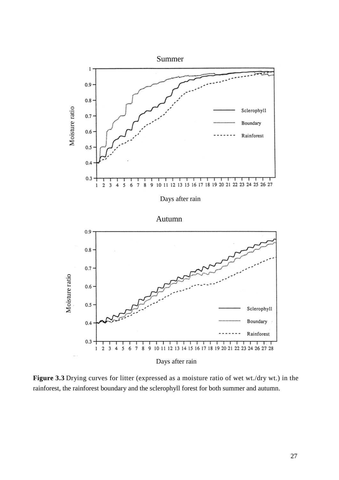

**Figure 3.3** Drying curves for litter (expressed as a moisture ratio of wet wt./dry wt.) in the rainforest, the rainforest boundary and the sclerophyll forest for both summer and autumn.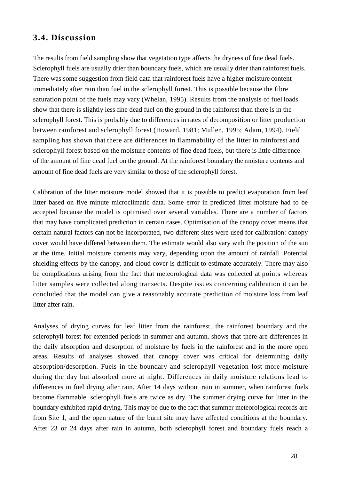# **3.4. Discussion**

The results from field sampling show that vegetation type affects the dryness of fine dead fuels. Sclerophyll fuels are usually drier than boundary fuels, which are usually drier than rainforest fuels. There was some suggestion from field data that rainforest fuels have a higher moisture content immediately after rain than fuel in the sclerophyll forest. This is possible because the fibre saturation point of the fuels may vary (Whelan, 1995). Results from the analysis of fuel loads show that there is slightly less fine dead fuel on the ground in the rainforest than there is in the sclerophyll forest. This is probably due to differences in rates of decomposition or litter production between rainforest and sclerophyll forest (Howard, 1981; Mullen, 1995; Adam, 1994). Field sampling has shown that there are differences in flammability of the litter in rainforest and sclerophyll forest based on the moisture contents of fine dead fuels, but there is little difference of the amount of fine dead fuel on the ground. At the rainforest boundary the moisture contents and amount of fine dead fuels are very similar to those of the sclerophyll forest.

Calibration of the litter moisture model showed that it is possible to predict evaporation from leaf litter based on five minute microclimatic data. Some error in predicted litter moisture had to be accepted because the model is optimised over several variables. There are a number of factors that may have complicated prediction in certain cases. Optimisation of the canopy cover means that certain natural factors can not be incorporated, two different sites were used for calibration: canopy cover would have differed between them. The estimate would also vary with the position of the sun at the time. Initial moisture contents may vary, depending upon the amount of rainfall. Potential shielding effects by the canopy, and cloud cover is difficult to estimate accurately. There may also be complications arising from the fact that meteorological data was collected at points whereas litter samples were collected along transects. Despite issues concerning calibration it can be concluded that the model can give a reasonably accurate prediction of moisture loss from leaf litter after rain.

Analyses of drying curves for leaf litter from the rainforest, the rainforest boundary and the sclerophyll forest for extended periods in summer and autumn, shows that there are differences in the daily absorption and desorption of moisture by fuels in the rainforest and in the more open areas. Results of analyses showed that canopy cover was critical for determining daily absorption/desorption. Fuels in the boundary and sclerophyll vegetation lost more moisture during the day but absorbed more at night. Differences in daily moisture relations lead to differences in fuel drying after rain. After 14 days without rain in summer, when rainforest fuels become flammable, sclerophyll fuels are twice as dry. The summer drying curve for litter in the boundary exhibited rapid drying. This may be due to the fact that summer meteorological records are from Site 1, and the open nature of the burnt site may have affected conditions at the boundary. After 23 or 24 days after rain in autumn, both sclerophyll forest and boundary fuels reach a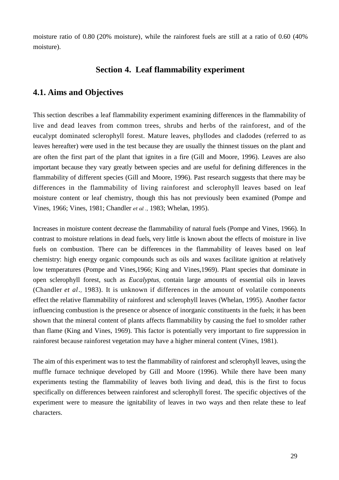moisture ratio of 0.80 (20% moisture), while the rainforest fuels are still at a ratio of 0.60 (40% moisture).

# **Section 4. Leaf flammability experiment**

#### **4.1. Aims and Objectives**

This section describes a leaf flammability experiment examining differences in the flammability of live and dead leaves from common trees, shrubs and herbs of the rainforest, and of the eucalypt dominated sclerophyll forest. Mature leaves, phyllodes and cladodes (referred to as leaves hereafter) were used in the test because they are usually the thinnest tissues on the plant and are often the first part of the plant that ignites in a fire (Gill and Moore, 1996). Leaves are also important because they vary greatly between species and are useful for defining differences in the flammability of different species (Gill and Moore, 1996). Past research suggests that there may be differences in the flammability of living rainforest and sclerophyll leaves based on leaf moisture content or leaf chemistry, though this has not previously been examined (Pompe and Vines, 1966; Vines, 1981; Chandler *et al .,* 1983; Whelan, 1995).

Increases in moisture content decrease the flammability of natural fuels (Pompe and Vines, 1966). In contrast to moisture relations in dead fuels, very little is known about the effects of moisture in live fuels on combustion. There can be differences in the flammability of leaves based on leaf chemistry: high energy organic compounds such as oils and waxes facilitate ignition at relatively low temperatures (Pompe and Vines,1966; King and Vines,1969). Plant species that dominate in open sclerophyll forest, such as *Eucalyptus,* contain large amounts of essential oils in leaves (Chandler *et al.,* 1983). It is unknown if differences in the amount of volatile components effect the relative flammability of rainforest and sclerophyll leaves (Whelan, 1995). Another factor influencing combustion is the presence or absence of inorganic constituents in the fuels; it has been shown that the mineral content of plants affects flammability by causing the fuel to smolder rather than flame (King and Vines, 1969). This factor is potentially very important to fire suppression in rainforest because rainforest vegetation may have a higher mineral content (Vines, 1981).

The aim of this experiment was to test the flammability of rainforest and sclerophyll leaves, using the muffle furnace technique developed by Gill and Moore (1996). While there have been many experiments testing the flammability of leaves both living and dead, this is the first to focus specifically on differences between rainforest and sclerophyll forest. The specific objectives of the experiment were to measure the ignitability of leaves in two ways and then relate these to leaf characters.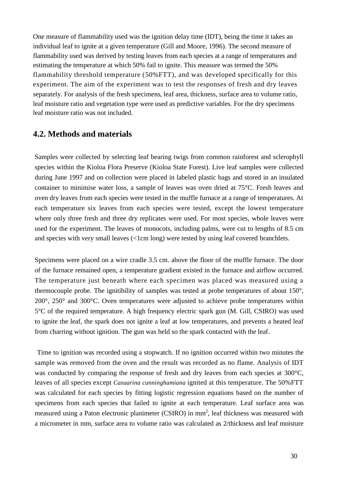One measure of flammability used was the ignition delay time (IDT), being the time it takes an individual leaf to ignite at a given temperature (Gill and Moore, 1996). The second measure of flammability used was derived by testing leaves from each species at a range of temperatures and estimating the temperature at which 50% fail to ignite. This measure was termed the 50% flammability threshold temperature (50%FTT), and was developed specifically for this experiment. The aim of the experiment was to test the responses of fresh and dry leaves separately. For analysis of the fresh specimens, leaf area, thickness, surface area to volume ratio, leaf moisture ratio and vegetation type were used as predictive variables. For the dry specimens leaf moisture ratio was not included.

#### **4.2. Methods and materials**

Samples were collected by selecting leaf bearing twigs from common rainforest and sclerophyll species within the Kioloa Flora Preserve (Kioloa State Forest). Live leaf samples were collected during June 1997 and on collection were placed in labeled plastic bags and stored in an insulated container to minimise water loss, a sample of leaves was oven dried at 75°C. Fresh leaves and oven dry leaves from each species were tested in the muffle furnace at a range of temperatures. At each temperature six leaves from each species were tested, except the lowest temperature where only three fresh and three dry replicates were used. For most species, whole leaves were used for the experiment. The leaves of monocots, including palms, were cut to lengths of 8.5 cm and species with very small leaves (<1cm long) were tested by using leaf covered branchlets.

Specimens were placed on a wire cradle 3.5 cm. above the floor of the muffle furnace. The door of the furnace remained open, a temperature gradient existed in the furnace and airflow occurred. The temperature just beneath where each specimen was placed was measured using a thermocouple probe. The ignitibility of samples was tested at probe temperatures of about 150°, 200°, 250° and 300°C. Oven temperatures were adjusted to achieve probe temperatures within 5°C of the required temperature. A high frequency electric spark gun (M. Gill, CSIRO) was used to ignite the leaf, the spark does not ignite a leaf at low temperatures, and prevents a heated leaf from charring without ignition. The gun was held so the spark contacted with the leaf.

Time to ignition was recorded using a stopwatch. If no ignition occurred within two minutes the sample was removed from the oven and the result was recorded as no flame. Analysis of IDT was conducted by comparing the response of fresh and dry leaves from each species at 300°C, leaves of all species except *Casuarina cunninghamiana* ignited at this temperature. The 50%FTT was calculated for each species by fitting logistic regression equations based on the number of specimens from each species that failed to ignite at each temperature. Leaf surface area was measured using a Paton electronic planimeter (CSIRO) in mm<sup>2</sup>, leaf thickness was measured with a micrometer in mm, surface area to volume ratio was calculated as 2/thickness and leaf moisture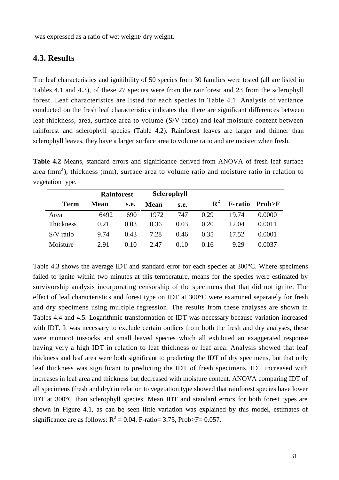was expressed as a ratio of wet weight/ dry weight.

#### **4.3. Results**

The leaf characteristics and ignitibility of 50 species from 30 families were tested (all are listed in Tables 4.1 and 4.3), of these 27 species were from the rainforest and 23 from the sclerophyll forest. Leaf characteristics are listed for each species in Table 4.1. Analysis of variance conducted on the fresh leaf characteristics indicates that there are significant differences between leaf thickness, area, surface area to volume (S/V ratio) and leaf moisture content between rainforest and sclerophyll species (Table 4.2). Rainforest leaves are larger and thinner than sclerophyll leaves, they have a larger surface area to volume ratio and are moister when fresh.

**Table 4.2** Means, standard errors and significance derived from ANOVA of fresh leaf surface area (mm<sup>2</sup>), thickness (mm), surface area to volume ratio and moisture ratio in relation to vegetation type.

|                  | <b>Rainforest</b> |      | Sclerophyll |      |             |       |                |
|------------------|-------------------|------|-------------|------|-------------|-------|----------------|
| <b>Term</b>      | Mean              | s.e. | Mean        | s.e. | ${\bf R}^2$ |       | F-ratio Prob>F |
| Area             | 6492              | 690  | 1972        | 747  | 0.29        | 19.74 | 0.0000         |
| <b>Thickness</b> | 0.21              | 0.03 | 0.36        | 0.03 | 0.20        | 12.04 | 0.0011         |
| $S/V$ ratio      | 9.74              | 0.43 | 7.28        | 0.46 | 0.35        | 17.52 | 0.0001         |
| Moisture         | 2.91              | 0.10 | 2.47        | 0.10 | 0.16        | 9.29  | 0.0037         |

Table 4.3 shows the average IDT and standard error for each species at 300°C. Where specimens failed to ignite within two minutes at this temperature, means for the species were estimated by survivorship analysis incorporating censorship of the specimens that that did not ignite. The effect of leaf characteristics and forest type on IDT at 300°C were examined separately for fresh and dry specimens using multiple regression. The results from these analyses are shown in Tables 4.4 and 4.5. Logarithmic transformation of IDT was necessary because variation increased with IDT. It was necessary to exclude certain outliers from both the fresh and dry analyses, these were monocot tussocks and small leaved species which all exhibited an exaggerated response having very a high IDT in relation to leaf thickness or leaf area. Analysis showed that leaf thickness and leaf area were both significant to predicting the IDT of dry specimens, but that only leaf thickness was significant to predicting the IDT of fresh specimens. IDT increased with increases in leaf area and thickness but decreased with moisture content. ANOVA comparing IDT of all specimens (fresh and dry) in relation to vegetation type showed that rainforest species have lower IDT at 300°C than sclerophyll species. Mean IDT and standard errors for both forest types are shown in Figure 4.1, as can be seen little variation was explained by this model, estimates of significance are as follows:  $R^2 = 0.04$ , F-ratio= 3.75, Prob>F= 0.057.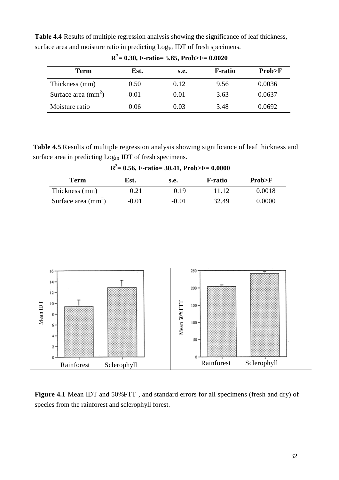**Table 4.4** Results of multiple regression analysis showing the significance of leaf thickness, surface area and moisture ratio in predicting  $Log<sub>10</sub>$  IDT of fresh specimens.

| Term                         | Est.    | S.e. | <b>F-ratio</b> | Prob>F |
|------------------------------|---------|------|----------------|--------|
| Thickness (mm)               | 0.50    | 0.12 | 9.56           | 0.0036 |
| Surface area $\text{(mm}^2)$ | $-0.01$ | 0.01 | 3.63           | 0.0637 |
| Moisture ratio               | 0.06    | 0.03 | 3.48           | 0.0692 |

**R <sup>2</sup>= 0.30, F-ratio= 5.85, Prob>F= 0.0020**

**Table 4.5** Results of multiple regression analysis showing significance of leaf thickness and surface area in predicting Log<sub>10</sub> IDT of fresh specimens.

**R <sup>2</sup>= 0.56, F-ratio= 30.41, Prob>F= 0.0000**

| Term                       | Est.    | s.e.    | <b>F-ratio</b> | Prob>F |
|----------------------------|---------|---------|----------------|--------|
| Thickness (mm)             | 0.21    | 0.19    | 11 12          | 0.0018 |
| Surface area $\text{(mm)}$ | $-0.01$ | $-0.01$ | 32.49          | 0.0000 |



**Figure 4.1** Mean IDT and 50%FTT , and standard errors for all specimens (fresh and dry) of species from the rainforest and sclerophyll forest.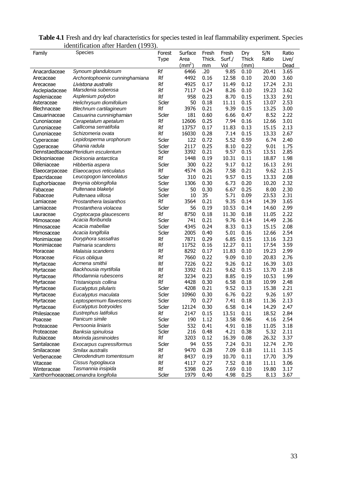|                | identification after Harden (1993).   |        |                 |        |        |       |       |       |
|----------------|---------------------------------------|--------|-----------------|--------|--------|-------|-------|-------|
| Family         | Species                               | Forest | Surface         | Fresh  | Fresh  | Dry   | S/N   | Ratio |
|                |                                       | Type   | Area            | Thick. | Surf./ | Thick | Ratio | Live/ |
|                |                                       |        | $\text{mm}^2$ ) | mm     | Vol    | (mm)  |       | Dead  |
| Anacardiaceae  | Synoum glandulosum                    | Rf     | 6466            | .20    | 9.85   | 0.10  | 20.41 | 3.65  |
| Arecaceae      | Archontophoenix cunninghamiana        | Rf     | 4492            | 0.16   | 12.58  | 0.10  | 20.00 | 3.60  |
| Arecaceae      | Livistona australis                   | Rf     | 4925            | 0.17   | 11.49  | 0.12  | 17.24 | 2.31  |
| Asclepiadaceae | Marsdenia suberosa                    | Rf     | 7117            | 0.24   | 8.26   | 0.10  | 19.23 | 3.62  |
| Aspleniaceae   | Asplenium polydon                     | Rf     | 958             | 0.23   | 8.70   | 0.15  | 13.33 | 2.91  |
| Asteraceae     | Helichrysum diomifolium               | Scler  | 50              | 0.18   | 11.11  | 0.15  | 13.07 | 2.53  |
| Blechnaceae    | Blechnum cartilagineum                | Rf     | 3976            | 0.21   | 9.39   | 0.15  | 13.25 | 3.00  |
| Casuarinaceae  | Casuarina cunninighamian              | Scler  | 181             | 0.60   | 6.66   | 0.47  | 8.52  | 2.22  |
| Cunoniaceae    | Cerapetalum apetalum                  | Rf     | 12606           | 0.25   | 7.94   | 0.16  | 12.66 | 3.01  |
| Cunoniaceae    | Callicoma serratifolia                | Rf     | 13757           | 0.17   | 11.83  | 0.13  | 15.15 | 2.13  |
| Cunoniaceae    | Schizomeria ovata                     | Rf     | 16030           | 0.28   | 7.14   | 0.15  | 13.33 | 2.67  |
| Cyperaceae     | Lepidosperma urophorum                | Scler  | 122             | 0.72   | 5.52   | 0.59  | 6.74  | 2.40  |
| Cyperaceae     | Ghania radula                         | Scler  | 2117            | 0.25   | 8.10   | 0.22  | 9.01  | 1.75  |
|                | Dennstaedtiaceae Pteridium esculentum | Scler  | 3392            | 0.21   | 9.57   | 0.15  | 13.51 | 2.85  |
| Dicksoniaceae  | Dicksonia antarctica                  | Rf     | 1448            | 0.19   | 10.31  | 0.11  | 18.87 | 1.98  |
| Dilleniaceae   | Hibbertia aspera                      | Scler  | 300             | 0.22   | 9.17   | 0.12  | 16.13 | 2.91  |
| Elaeocarpaceae | Elaeocarpus reticulatus               | Rf     | 4574            | 0.26   | 7.58   | 0.21  | 9.62  | 2.15  |
| Epacridaceae   | Leucopogon lanceolatus                | Scler  | 310             | 0.21   | 9.57   | 0.15  | 13.33 | 2.08  |
| Euphorbiaceae  | Breynia oblongifolia                  | Scler  | 1306            | 0.30   | 6.73   | 0.20  | 10.20 | 2.32  |
| Fabaceae       | Pultenaea blakelyi                    | Scler  | 50              | 0.30   | 6.67   | 0.25  | 8.00  | 2.30  |
| Fabaceae       | Pultenaea villosa                     | Scler  | 10              | 35     | 5.71   | 0.09  | 23.53 | 2.31  |
| Lamiaceae      | Prostanthera lasianthos               | Rf     | 3564            | 0.21   | 9.35   | 0.14  | 14.39 | 3.65  |
| Lamiaceae      | Prostanthera violacea                 | Scler  | 56              | 0.19   | 10.53  | 0.14  | 14.60 | 2.99  |
| Lauraceae      | Cryptocarpa glaucescens               | Rf     | 8750            | 0.18   | 11.30  | 0.18  | 11.05 | 2.22  |
| Mimosaceae     | Acacia floribunda                     | Scler  | 741             | 0.21   | 9.76   | 0.14  | 14.49 | 2.36  |
| Mimosaceae     | Acacia mabellae                       | Scler  | 4345            | 0.24   | 8.33   | 0.13  | 15.15 | 2.08  |
| Mimosaceae     | Acacia longifolia                     | Scler  | 2005            | 0.40   | 5.01   | 0.16  | 12.66 | 2.54  |
| Monimiaceae    | Doryphora sassafras                   | Rf     | 7871            | 0.29   | 6.85   | 0.15  | 13.16 | 3.23  |
| Monimiaceae    | Palmaria scandens                     | Rf     | 11752           | 0.16   | 12.27  | 0.11  | 17.54 | 3.59  |
| Moraceae       | Malaisia scandens                     | Rf     | 8292            | 0.17   | 11.83  | 0.10  | 19.23 | 2.99  |
| Moraceae       | Ficus obliqua                         | Rf     | 7660            | 0.22   | 9.09   | 0.10  | 20.83 | 2.76  |
| Myrtaceae      | Acmena smithii                        | Rf     | 7226            | 0.22   | 9.26   | 0.12  | 16.39 | 3.03  |
| Myrtaceae      | Backhousia myrtifolia                 | Rf     | 3392            | 0.21   | 9.62   | 0.15  | 13.70 | 2.18  |
| Myrtaceae      | Rhodamnia rubescens                   | Rf     | 3234            | 0.23   | 8.85   | 0.19  | 10.53 | 1.99  |
| Myrtaceae      | Tristaniopsis collina                 | Rf     | 4428            | 0.30   | 6.58   | 0.18  | 10.99 | 2.48  |
| Myrtaceae      | Eucalyptus pilularis                  | Scler  | 4208            | 0.21   | 9.52   | 0.13  | 15.38 | 2.21  |
| Myrtaceae      | Eucalyptus maculata                   | Scler  | 10960           | 0.30   | 6.76   | 0.22  | 9.26  | 1.97  |
| Myrtaceae      | Leptospermum flavescens               | Scler  | 70              | 0.27   | 7.41   | 0.18  | 11.36 | 2.13  |
| Myrtaceae      | Eucalyptus botryoides                 | Scler  | 12124           | 0.30   | 6.58   | 0.14  | 14.29 | 2.47  |
| Philesiaceae   | Eustrephus latifolius                 | Rf     | 2147            | 0.15   | 13.51  | 0.11  | 18.52 | 2.84  |
| Poaceae        | Panicum simile                        | Scler  | 190             | 1.12   | 3.58   | 0.96  | 4.16  | 2.54  |
| Proteaceae     | Persoonia liniaris                    | Scler  | 532             | 0.41   | 4.91   | 0.18  | 11.05 | 3.18  |
| Proteaceae     | Banksia spinulosa                     | Scler  | 216             | 0.48   | 4.21   | 0.38  | 5.32  | 2.11  |
| Rubiaceae      | Morinda jasminoides                   | Rf     | 3203            | 0.12   | 16.39  | 0.08  | 26.32 | 3.37  |
| Santalaceae    | Exocarpus cupressiformus              | Scler  | 94              | 0.55   | 7.24   | 0.31  | 12.74 | 2.70  |
| Smilacaceae    | Smilax australis                      | Rf     | 9470            | 0.28   | 7.09   | 0.18  | 11.11 | 3.15  |
| Verbenaceae    | Clerodendrum tomentosum               | Rf     | 8437            | 0.19   | 10.70  | 0.11  | 17.70 | 3.79  |
| Vitaceae       | Cissus hypoglauca                     | Rf     | 4117            | 0.27   | 7.52   | 0.18  | 11.11 | 3.06  |
| Winteraceae    | Tasmannia insipida                    | Rf     | 5398            | 0.26   | 7.69   | 0.10  | 19.80 | 3.17  |
|                | XanthorrhoeaceaeLomandra longifolia   | Scler  | 1979            | 0.40   | 4.98   | 0.25  | 8.13  | 3.67  |

**Table 4.1** Fresh and dry leaf characteristics for species tested in leaf flammability experiment. Species identification after Harden (1993).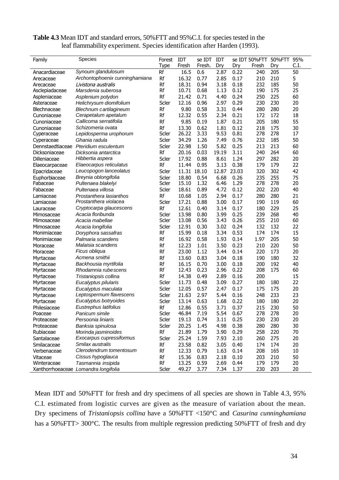| <b>Table 4.3</b> Mean IDT and standard errors, 50% FTT and 95% C.I. for species tested in the |  |
|-----------------------------------------------------------------------------------------------|--|
| leaf flammability experiment. Species identification after Harden (1993).                     |  |

| Family             | Species                              | Forest      | IDT   | se IDT | IDT   |       | se IDT 50%FTT | 50%FTT | 95%  |
|--------------------|--------------------------------------|-------------|-------|--------|-------|-------|---------------|--------|------|
|                    |                                      | <b>Type</b> | Fresh | Fresh. | Dry   | Dry   | Fresh         | Dry    | C.I. |
| Anacardiaceae      | Synoum glandulosum                   | Rf          | 16.5  | 0.6    | 2.87  | 0.22  | 240           | 205    | 50   |
| Arecaceae          | Archontophoenix cunninghamiana       | Rf          | 16.32 | 0.77   | 2.85  | 0.17  | 210           | 210    | 5    |
| Arecaceae          | Livistona australis                  | Rf          | 18.31 | 0.94   | 3.18  | 0.18  | 232           | 185    | 50   |
| Asclepiadaceae     | Marsdenia suberosa                   | Rf          | 10.71 | 0.68   | 1.13  | 0.12  | 190           | 175    | 25   |
| Aspleniaceae       | Asplenium polydon                    | Rf          | 21.42 | 0.71   | 4.40  | 0.24  | 250           | 225    | 60   |
| Asteraceae         | Helichrysum diomifolium              | Scler       | 12.16 | 0.96   | 2.97  | 0.29  | 230           | 230    | 20   |
| <b>Blechnaceae</b> | Blechnum cartilagineum               | Rf          | 9.80  | 0.58   | 3.31  | 0.44  | 280           | 280    | 20   |
| Cunoniaceae        | Cerapetalum apetalum                 | Rf          | 12.32 | 0.55   | 2.34  | 0.21  | 172           | 172    | 18   |
| Cunoniaceae        | Callicoma serratifolia               | Rf          | 9.85  | 0.19   | 1.87  | 0.21  | 205           | 180    | 55   |
| Cunoniaceae        | Schizomeria ovata                    | Rf          | 13.30 | 0.62   | 1.81  | 0.12  | 218           | 175    | 30   |
| Cyperaceae         | Lepidosperma urophorum               | Scler       | 26.22 | 3.33   | 9.53  | 0.81  | 278           | 278    | 17   |
| Cyperaceae         | Ghania radula                        | Scler       | 34.29 | 1.26   | 7.49  | 0.76  | 232           | 185    | 50   |
| Dennstaedtiaceae   | Pteridium esculentum                 | Scler       | 22.98 | 1.50   | 5.82  | 0.25  | 213           | 213    | 60   |
| Dicksoniaceae      | Dicksonia antarctica                 | Rf          | 20.16 | 0.03   | 19.19 | 3.11  | 240           | 264    | 60   |
| Dilleniaceae       | Hibbertia aspera                     | Scler       | 17.92 | 0.88   | 8.61  | 1.24  | 297           | 282    | 20   |
| Elaeocarpaceae     | Elaeocarpus reticulatus              | Rf          | 11.44 | 0.95   | 3.13  | 0.38  | 179           | 179    | 22   |
| Epacridaceae       | Leucopogon lanceolatus               | Scler       | 11.31 | 18.10  | 12.87 | 23.03 | 320           | 302    | 42   |
| Euphorbiaceae      | Breynia oblongifolia                 | Scler       | 18.80 | 0.54   | 6.68  | 0.26  | 235           | 255    | 75   |
| Fabaceae           | Pultenaea blakelyi                   | Scler       | 15.10 | 1.32   | 6.46  | 1.29  | 278           | 278    | 20   |
| Fabaceae           | Pultenaea villosa                    | Scler       | 18.61 | 0.89   | 4.72  | 0.12  | 202           | 220    | 40   |
| Lamiaceae          | Prostanthera lasianthos              | Rf          | 10.68 | 1.05   | 2.94  | 0.17  | 280           | 280    | 21   |
| Lamiaceae          | Prostanthera violacea                | Scler       | 17.21 | 0.88   | 3.00  | 0.17  | 190           | 119    | 60   |
| Lauraceae          | Cryptocarpa glaucescens              | Rf          | 12.61 | 0.40   | 3.14  | 0.17  | 180           | 229    | 25   |
| Mimosaceae         | Acacia floribunda                    | Scler       | 13.98 | 0.80   | 3.99  | 0.25  | 239           | 268    | 40   |
| Mimosaceae         | Acacia mabellae                      | Scler       | 13.08 | 0.56   | 3.43  | 0.26  | 255           | 210    | 60   |
| Mimosaceae         | Acacia longifolia                    | Scler       | 12.91 | 0.30   | 3.02  | 0.24  | 132           | 132    | 22   |
| Monimiaceae        | Doryphora sassafras                  | Rf          | 15.99 | 0.18   | 3.34  | 0.53  | 174           | 174    | 15   |
| Monimiaceae        | Palmaria scandens                    | Rf          | 16.92 | 0.58   | 1.93  | 0.14  | 1.97          | 205    | 50   |
| Moraceae           | Malaisia scandens                    | Rf          | 12.23 | 1.01   | 3.50  | 0.23  | 210           | 220    | 50   |
| Moraceae           | Ficus obliqua                        | Rf          | 23.00 | 1.12   | 3.44  | 0.14  | 220           | 173    | 20   |
| Myrtaceae          | Acmena smithii                       | Rf          | 13.60 | 0.83   | 3.04  | 0.18  | 190           | 180    | 32   |
| Myrtaceae          | Backhousia myrtifolia                | Rf          | 16.15 | 0.70   | 3.00  | 0.18  | 200           | 192    | 40   |
| Myrtaceae          | Rhodamnia rube scens                 | Rf          | 12.43 | 0.23   | 2.96  | 0.22  | 208           | 175    | 60   |
| Myrtaceae          | Tristaniopsis collina                | Rf          | 14.38 | 0.49   | 2.89  | 0.16  | 200           |        | 15   |
| Myrtaceae          | Eucalyptus pilularis                 | Scler       | 11.73 | 0.48   | 3.09  | 0.27  | 180           | 180    | 22   |
| Myrtaceae          | Eucalyptus maculata                  | Scler       | 12.05 | 0.57   | 2.47  | 0.17  | 175           | 175    | 20   |
| Myrtaceae          | Leptospermum flavescens              | Scler       | 21.63 | 2.97   | 5.44  | 0.16  | 248           | 233    | 23   |
| Myrtaceae          | Eucalyptus botryoides                | Scler       | 13.14 | 0.63   | 1.68  | 0.22  | 180           | 180    | 20   |
| Philesiaceae       | Eustrephus latifolius                | Rf          | 12.86 | 0.55   | 3.71  | 0.37  | 215           | 230    | 50   |
| Poaceae            | Panicum simile                       | Scler       | 46.84 | 7.19   | 5.54  | 0.67  | 278           | 278    | 20   |
| Proteaceae         | Persoonia liniaris                   | Scler       | 19.13 | 0.74   | 3.11  | 0.25  | 230           | 230    | 20   |
| Proteaceae         | Banksia spinulosa                    | Scler       | 20.25 | 1.45   | 4.98  | 0.38  | 280           | 280    | 30   |
| Rubiaceae          | Morinda jasminoides                  | Rf          | 21.89 | 1.79   | 3.90  | 0.29  | 258           | 220    | 70   |
| Santalaceae        | Exocarpus cupressiformus             | Scler       | 25.24 | 1.59   | 7.93  | 2.10  | 260           | 275    | 20   |
| Smilacaceae        | Smilax australis                     | Rf          | 23.58 | 0.82   | 3.05  | 0.40  | 174           | 174    | 20   |
| Verbenaceae        | Clerodendrum tomentosum              | Rf          | 12.33 | 0.79   | 1.63  | 0.14  | 208           | 165    | 10   |
| Vitaceae           | Cissus hypoglauca                    | Rf          | 15.36 | 0.83   | 2.18  | 0.10  | 203           | 210    | 50   |
| Winteraceae        | Tasmannia insipida                   | Rf          | 13.25 | 0.59   | 2.69  | 0.44  | 179           | 179    | 20   |
|                    | Xanthorrhoeaceae Lomandra longifolia | Scler       | 49.27 | 3.77   | 7.34  | 1.37  | 230           | 203    | 20   |

Mean IDT and 50%FTT for fresh and dry specimens of all species are shown in Table 4.3, 95% C.I. estimated from logistic curves are given as the measure of variation about the mean. Dry specimens of *Tristaniopsis collina* have a 50%FTT <150°C and *Casurina cunninghamiana* has a 50%FTT> 300°C. The results from multiple regression predicting 50% FTT of fresh and dry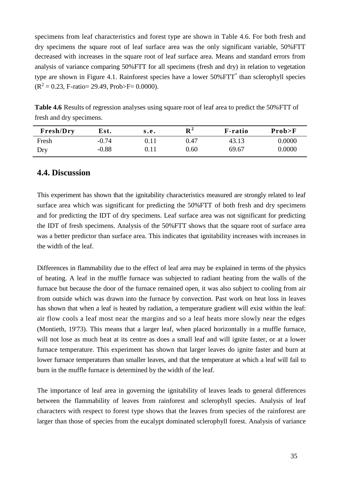specimens from leaf characteristics and forest type are shown in Table 4.6. For both fresh and dry specimens the square root of leaf surface area was the only significant variable, 50%FTT decreased with increases in the square root of leaf surface area. Means and standard errors from analysis of variance comparing 50%FTT for all specimens (fresh and dry) in relation to vegetation type are shown in Figure 4.1. Rainforest species have a lower 50% FTT<sup>\*</sup> than sclerophyll species  $(R^2 = 0.23, F\text{-ratio} = 29.49, Prob>F = 0.0000).$ 

**Table 4.6** Results of regression analyses using square root of leaf area to predict the 50%FTT of fresh and dry specimens.

| Fresh/Dry | Est.    | s.e. | ${\bf R}^2$ | <b>F</b> -ratio | Prob > F |
|-----------|---------|------|-------------|-----------------|----------|
| Fresh     | $-0.74$ |      | 0.47        | 43.13           | 0.0000   |
| Dry       | $-0.88$ |      | 0.60        | 69.67           | 0.0000   |

#### **4.4. Discussion**

This experiment has shown that the ignitability characteristics measured are strongly related to leaf surface area which was significant for predicting the 50%FTT of both fresh and dry specimens and for predicting the IDT of dry specimens. Leaf surface area was not significant for predicting the IDT of fresh specimens. Analysis of the 50%FTT shows that the square root of surface area was a better predictor than surface area. This indicates that ignitability increases with increases in the width of the leaf.

Differences in flammability due to the effect of leaf area may be explained in terms of the physics of heating. A leaf in the muffle furnace was subjected to radiant heating from the walls of the furnace but because the door of the furnace remained open, it was also subject to cooling from air from outside which was drawn into the furnace by convection. Past work on heat loss in leaves has shown that when a leaf is heated by radiation, a temperature gradient will exist within the leaf: air flow cools a leaf most near the margins and so a leaf heats more slowly near the edges (Montieth, 19'73). This means that a larger leaf, when placed horizontally in a muffle furnace, will not lose as much heat at its centre as does a small leaf and will ignite faster, or at a lower furnace temperature. This experiment has shown that larger leaves do ignite faster and burn at lower furnace temperatures than smaller leaves, and that the temperature at which a leaf will fail to burn in the muffle furnace is determined by the width of the leaf.

The importance of leaf area in governing the ignitability of leaves leads to general differences between the flammability of leaves from rainforest and sclerophyll species. Analysis of leaf characters with respect to forest type shows that the leaves from species of the rainforest are larger than those of species from the eucalypt dominated sclerophyll forest. Analysis of variance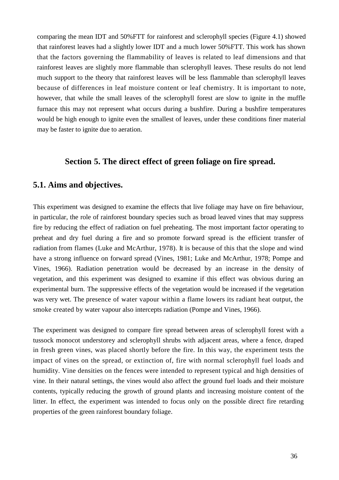comparing the mean IDT and 50%FTT for rainforest and sclerophyll species (Figure 4.1) showed that rainforest leaves had a slightly lower IDT and a much lower 50%FTT. This work has shown that the factors governing the flammability of leaves is related to leaf dimensions and that rainforest leaves are slightly more flammable than sclerophyll leaves. These results do not lend much support to the theory that rainforest leaves will be less flammable than sclerophyll leaves because of differences in leaf moisture content or leaf chemistry. It is important to note, however, that while the small leaves of the sclerophyll forest are slow to ignite in the muffle furnace this may not represent what occurs during a bushfire. During a bushfire temperatures would be high enough to ignite even the smallest of leaves, under these conditions finer material may be faster to ignite due to aeration.

## **Section 5. The direct effect of green foliage on fire spread.**

# **5.1. Aims and objectives.**

This experiment was designed to examine the effects that live foliage may have on fire behaviour, in particular, the role of rainforest boundary species such as broad leaved vines that may suppress fire by reducing the effect of radiation on fuel preheating. The most important factor operating to preheat and dry fuel during a fire and so promote forward spread is the efficient transfer of radiation from flames (Luke and McArthur, 1978). It is because of this that the slope and wind have a strong influence on forward spread (Vines, 1981; Luke and McArthur, 1978; Pompe and Vines, 1966). Radiation penetration would be decreased by an increase in the density of vegetation, and this experiment was designed to examine if this effect was obvious during an experimental burn. The suppressive effects of the vegetation would be increased if the vegetation was very wet. The presence of water vapour within a flame lowers its radiant heat output, the smoke created by water vapour also intercepts radiation (Pompe and Vines, 1966).

The experiment was designed to compare fire spread between areas of sclerophyll forest with a tussock monocot understorey and sclerophyll shrubs with adjacent areas, where a fence, draped in fresh green vines, was placed shortly before the fire. In this way, the experiment tests the impact of vines on the spread, or extinction of, fire with normal sclerophyll fuel loads and humidity. Vine densities on the fences were intended to represent typical and high densities of vine. In their natural settings, the vines would also affect the ground fuel loads and their moisture contents, typically reducing the growth of ground plants and increasing moisture content of the litter. In effect, the experiment was intended to focus only on the possible direct fire retarding properties of the green rainforest boundary foliage.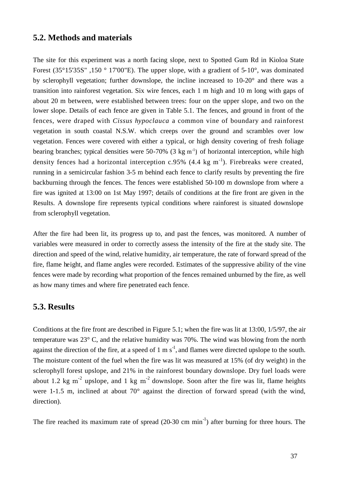#### **5.2. Methods and materials**

The site for this experiment was a north facing slope, next to Spotted Gum Rd in Kioloa State Forest (35 $\degree$ 15'35S", 150  $\degree$  17'00"E). The upper slope, with a gradient of 5-10 $\degree$ , was dominated by sclerophyll vegetation; further downslope, the incline increased to 10-20° and there was a transition into rainforest vegetation. Six wire fences, each 1 m high and 10 m long with gaps of about 20 m between, were established between trees: four on the upper slope, and two on the lower slope. Details of each fence are given in Table 5.1. The fences, and ground in front of the fences, were draped with *Cissus hypoclauca* a common vine of boundary and rainforest vegetation in south coastal N.S.W. which creeps over the ground and scrambles over low vegetation. Fences were covered with either a typical, or high density covering of fresh foliage bearing branches; typical densities were  $50-70\%$  (3 kg m<sup>-1</sup>) of horizontal interception, while high density fences had a horizontal interception c.95% (4.4 kg m<sup>-1</sup>). Firebreaks were created, running in a semicircular fashion 3-5 m behind each fence to clarify results by preventing the fire backburning through the fences. The fences were established 50-100 m downslope from where a fire was ignited at 13:00 on 1st May 1997; details of conditions at the fire front are given in the Results. A downslope fire represents typical conditions where rainforest is situated downslope from sclerophyll vegetation.

After the fire had been lit, its progress up to, and past the fences, was monitored. A number of variables were measured in order to correctly assess the intensity of the fire at the study site. The direction and speed of the wind, relative humidity, air temperature, the rate of forward spread of the fire, flame height, and flame angles were recorded. Estimates of the suppressive ability of the vine fences were made by recording what proportion of the fences remained unburned by the fire, as well as how many times and where fire penetrated each fence.

#### **5.3. Results**

Conditions at the fire front are described in Figure 5.1; when the fire was lit at 13:00, 1/5/97, the air temperature was 23° C, and the relative humidity was 70%. The wind was blowing from the north against the direction of the fire, at a speed of  $1 \text{ m s}^{-1}$ , and flames were directed upslope to the south. The moisture content of the fuel when the fire was lit was measured at 15% (of dry weight) in the sclerophyll forest upslope, and 21% in the rainforest boundary downslope. Dry fuel loads were about 1.2 kg m<sup>-2</sup> upslope, and 1 kg m<sup>-2</sup> downslope. Soon after the fire was lit, flame heights were 1-1.5 m, inclined at about 70° against the direction of forward spread (with the wind, direction).

The fire reached its maximum rate of spread  $(20-30 \text{ cm min}^{-1})$  after burning for three hours. The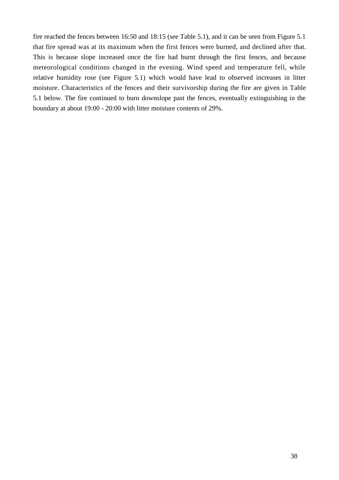fire reached the fences between 16:50 and 18:15 (see Table 5.1), and it can be seen from Figure 5.1 that fire spread was at its maximum when the first fences were burned, and declined after that. This is because slope increased once the fire had burnt through the first fences, and because meteorological conditions changed in the evening. Wind speed and temperature fell, while relative humidity rose (see Figure 5.1) which would have lead to observed increases in litter moisture. Characteristics of the fences and their survivorship during the fire are given in Table 5.1 below. The fire continued to burn downslope past the fences, eventually extinguishing in the boundary at about 19:00 - 20:00 with litter moisture contents of 29%.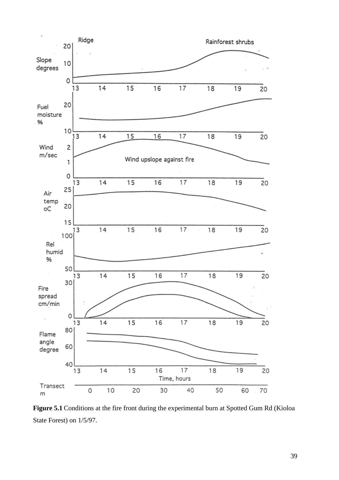

Figure 5.1 Conditions at the fire front during the experimental burn at Spotted Gum Rd (Kioloa State Forest) on 1/5/97.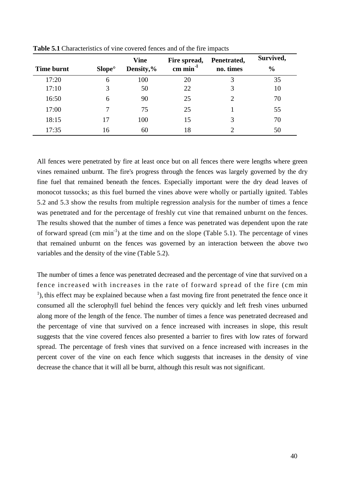|            |                    | <b>Vine</b> | Fire spread, | Penetrated, | Survived,     |
|------------|--------------------|-------------|--------------|-------------|---------------|
| Time burnt | Slope <sup>°</sup> | Density,%   | cm $min-1$   | no. times   | $\frac{0}{0}$ |
| 17:20      | 6                  | 100         | 20           | 3           | 35            |
| 17:10      |                    | 50          | 22           | 3           | 10            |
| 16:50      | 6                  | 90          | 25           | C           | 70            |
| 17:00      |                    | 75          | 25           |             | 55            |
| 18:15      | 17                 | 100         | 15           | 3           | 70            |
| 17:35      | 16                 | 60          | 18           |             | 50            |

**Table 5.1** Characteristics of vine covered fences and of the fire impacts

All fences were penetrated by fire at least once but on all fences there were lengths where green vines remained unburnt. The fire's progress through the fences was largely governed by the dry fine fuel that remained beneath the fences. Especially important were the dry dead leaves of monocot tussocks; as this fuel burned the vines above were wholly or partially ignited. Tables 5.2 and 5.3 show the results from multiple regression analysis for the number of times a fence was penetrated and for the percentage of freshly cut vine that remained unburnt on the fences. The results showed that the number of times a fence was penetrated was dependent upon the rate of forward spread (cm min<sup>-1</sup>) at the time and on the slope (Table 5.1). The percentage of vines that remained unburnt on the fences was governed by an interaction between the above two variables and the density of the vine (Table 5.2).

The number of times a fence was penetrated decreased and the percentage of vine that survived on a fence increased with increases in the rate of forward spread of the fire (cm min <sup>1</sup>), this effect may be explained because when a fast moving fire front penetrated the fence once it consumed all the sclerophyll fuel behind the fences very quickly and left fresh vines unburned along more of the length of the fence. The number of times a fence was penetrated decreased and the percentage of vine that survived on a fence increased with increases in slope, this result suggests that the vine covered fences also presented a barrier to fires with low rates of forward spread. The percentage of fresh vines that survived on a fence increased with increases in the percent cover of the vine on each fence which suggests that increases in the density of vine decrease the chance that it will all be burnt, although this result was not significant.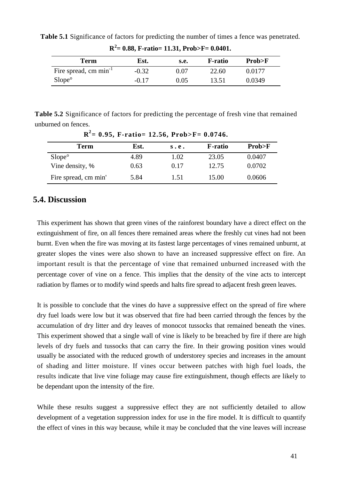| Term                       | Est.    | s.e. | <b>F-ratio</b> | Prob>F |
|----------------------------|---------|------|----------------|--------|
| Fire spread, cm $min^{-1}$ | $-0.32$ | ი ი⁊ | 22.60          | 0.0177 |
| Slope <sup>°</sup>         | $-0.17$ | 0.05 | 13.51          | 0.0349 |

**Table 5.1** Significance of factors for predicting the number of times a fence was penetrated.

|  |  |  | $R^2$ = 0.88, F-ratio = 11.31, Prob>F = 0.0401. |  |
|--|--|--|-------------------------------------------------|--|
|--|--|--|-------------------------------------------------|--|

**Table 5.2** Significance of factors for predicting the percentage of fresh vine that remained unburned on fences.

| $R^2$ = 0.95, F-ratio= 12.56, Prob>F= 0.0746. |      |      |                 |        |  |  |  |  |
|-----------------------------------------------|------|------|-----------------|--------|--|--|--|--|
| <b>Term</b>                                   | Est. | s.e. | <b>F</b> -ratio | Prob>F |  |  |  |  |
| Slope <sup>°</sup>                            | 4.89 | 1.02 | 23.05           | 0.0407 |  |  |  |  |
| Vine density, %                               | 0.63 | 0.17 | 12.75           | 0.0702 |  |  |  |  |
| Fire spread, cm min'                          | 5.84 | 1.51 | 15.00           | 0.0606 |  |  |  |  |

## **5.4. Discussion**

This experiment has shown that green vines of the rainforest boundary have a direct effect on the extinguishment of fire, on all fences there remained areas where the freshly cut vines had not been burnt. Even when the fire was moving at its fastest large percentages of vines remained unburnt, at greater slopes the vines were also shown to have an increased suppressive effect on fire. An important result is that the percentage of vine that remained unburned increased with the percentage cover of vine on a fence. This implies that the density of the vine acts to intercept radiation by flames or to modify wind speeds and halts fire spread to adjacent fresh green leaves.

It is possible to conclude that the vines do have a suppressive effect on the spread of fire where dry fuel loads were low but it was observed that fire had been carried through the fences by the accumulation of dry litter and dry leaves of monocot tussocks that remained beneath the vines. This experiment showed that a single wall of vine is likely to be breached by fire if there are high levels of dry fuels and tussocks that can carry the fire. In their growing position vines would usually be associated with the reduced growth of understorey species and increases in the amount of shading and litter moisture. If vines occur between patches with high fuel loads, the results indicate that live vine foliage may cause fire extinguishment, though effects are likely to be dependant upon the intensity of the fire.

While these results suggest a suppressive effect they are not sufficiently detailed to allow development of a vegetation suppression index for use in the fire model. It is difficult to quantify the effect of vines in this way because, while it may be concluded that the vine leaves will increase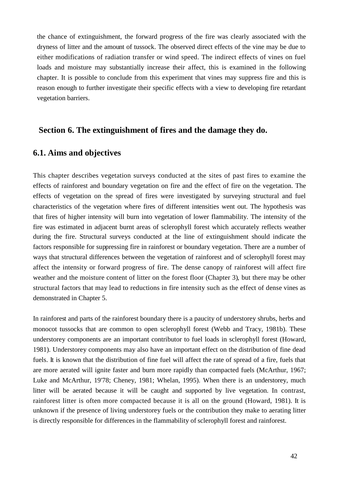the chance of extinguishment, the forward progress of the fire was clearly associated with the dryness of litter and the amount of tussock. The observed direct effects of the vine may be due to either modifications of radiation transfer or wind speed. The indirect effects of vines on fuel loads and moisture may substantially increase their affect, this is examined in the following chapter. It is possible to conclude from this experiment that vines may suppress fire and this is reason enough to further investigate their specific effects with a view to developing fire retardant vegetation barriers.

#### **Section 6. The extinguishment of fires and the damage they do.**

#### **6.1. Aims and objectives**

This chapter describes vegetation surveys conducted at the sites of past fires to examine the effects of rainforest and boundary vegetation on fire and the effect of fire on the vegetation. The effects of vegetation on the spread of fires were investigated by surveying structural and fuel characteristics of the vegetation where fires of different intensities went out. The hypothesis was that fires of higher intensity will burn into vegetation of lower flammability. The intensity of the fire was estimated in adjacent burnt areas of sclerophyll forest which accurately reflects weather during the fire. Structural surveys conducted at the line of extinguishment should indicate the factors responsible for suppressing fire in rainforest or boundary vegetation. There are a number of ways that structural differences between the vegetation of rainforest and of sclerophyll forest may affect the intensity or forward progress of fire. The dense canopy of rainforest will affect fire weather and the moisture content of litter on the forest floor (Chapter 3), but there may be other structural factors that may lead to reductions in fire intensity such as the effect of dense vines as demonstrated in Chapter 5.

In rainforest and parts of the rainforest boundary there is a paucity of understorey shrubs, herbs and monocot tussocks that are common to open sclerophyll forest (Webb and Tracy, 1981b). These understorey components are an important contributor to fuel loads in sclerophyll forest (Howard, 1981). Understorey components may also have an important effect on the distribution of fine dead fuels. It is known that the distribution of fine fuel will affect the rate of spread of a fire, fuels that are more aerated will ignite faster and burn more rapidly than compacted fuels (McArthur, 1967; Luke and McArthur, 19'78; Cheney, 1981; Whelan, 1995). When there is an understorey, much litter will be aerated because it will be caught and supported by live vegetation. In contrast, rainforest litter is often more compacted because it is all on the ground (Howard, 1981). It is unknown if the presence of living understorey fuels or the contribution they make to aerating litter is directly responsible for differences in the flammability of sclerophyll forest and rainforest.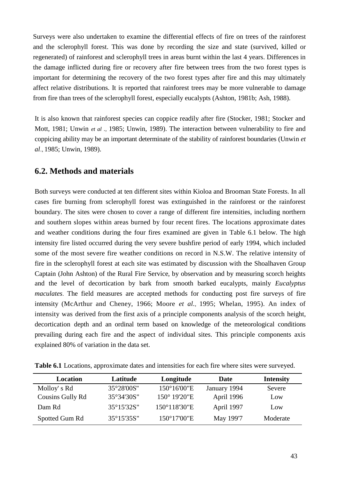Surveys were also undertaken to examine the differential effects of fire on trees of the rainforest and the sclerophyll forest. This was done by recording the size and state (survived, killed or regenerated) of rainforest and sclerophyll trees in areas burnt within the last 4 years. Differences in the damage inflicted during fire or recovery after fire between trees from the two forest types is important for determining the recovery of the two forest types after fire and this may ultimately affect relative distributions. It is reported that rainforest trees may be more vulnerable to damage from fire than trees of the sclerophyll forest, especially eucalypts (Ashton, 1981b; Ash, 1988).

It is also known that rainforest species can coppice readily after fire (Stocker, 1981; Stocker and Mott, 1981; Unwin *et al .,* 1985; Unwin, 1989). The interaction between vulnerability to fire and coppicing ability may be an important determinate of the stability of rainforest boundaries (Unwin *et al.,* 1985; Unwin, 1989).

#### **6.2. Methods and materials**

Both surveys were conducted at ten different sites within Kioloa and Brooman State Forests. In all cases fire burning from sclerophyll forest was extinguished in the rainforest or the rainforest boundary. The sites were chosen to cover a range of different fire intensities, including northern and southern slopes within areas burned by four recent fires. The locations approximate dates and weather conditions during the four fires examined are given in Table 6.1 below. The high intensity fire listed occurred during the very severe bushfire period of early 1994, which included some of the most severe fire weather conditions on record in N.S.W. The relative intensity of fire in the sclerophyll forest at each site was estimated by discussion with the Shoalhaven Group Captain (John Ashton) of the Rural Fire Service, by observation and by measuring scorch heights and the level of decortication by bark from smooth barked eucalypts, mainly *Eucalyptus maculates.* The field measures are accepted methods for conducting post fire surveys of fire intensity (McArthur and Cheney, 1966; Moore *et al.,* 1995; Whelan, 1995). An index of intensity was derived from the first axis of a principle components analysis of the scorch height, decortication depth and an ordinal term based on knowledge of the meteorological conditions prevailing during each fire and the aspect of individual sites. This principle components axis explained 80% of variation in the data set.

| Location         | Latitude   | Longitude              | Date         | <b>Intensity</b> |
|------------------|------------|------------------------|--------------|------------------|
| Molloy's Rd      | 35°28'00S" | $150^{\circ}16'00''E$  | January 1994 | Severe           |
| Cousins Gully Rd | 35°34'30S" | $150^{\circ}$ 19'20"E  | April 1996   | Low              |
| Dam Rd           | 35°15'32S" | $150^{\circ}118'30''E$ | April 1997   | Low              |
| Spotted Gum Rd   | 35°15'35S" | $150^{\circ}17'00''E$  | May 199'7    | Moderate         |

**Table 6.1** Locations, approximate dates and intensities for each fire where sites were surveyed.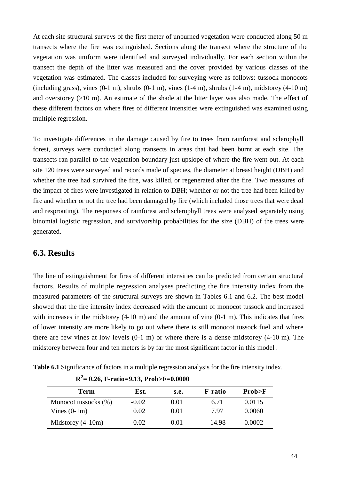At each site structural surveys of the first meter of unburned vegetation were conducted along 50 m transects where the fire was extinguished. Sections along the transect where the structure of the vegetation was uniform were identified and surveyed individually. For each section within the transect the depth of the litter was measured and the cover provided by various classes of the vegetation was estimated. The classes included for surveying were as follows: tussock monocots (including grass), vines  $(0-1 \text{ m})$ , shrubs  $(0-1 \text{ m})$ , vines  $(1-4 \text{ m})$ , shrubs  $(1-4 \text{ m})$ , midstorey  $(4-10 \text{ m})$ and overstorey (>10 m). An estimate of the shade at the litter layer was also made. The effect of these different factors on where fires of different intensities were extinguished was examined using multiple regression.

To investigate differences in the damage caused by fire to trees from rainforest and sclerophyll forest, surveys were conducted along transects in areas that had been burnt at each site. The transects ran parallel to the vegetation boundary just upslope of where the fire went out. At each site 120 trees were surveyed and records made of species, the diameter at breast height (DBH) and whether the tree had survived the fire, was killed, or regenerated after the fire. Two measures of the impact of fires were investigated in relation to DBH; whether or not the tree had been killed by fire and whether or not the tree had been damaged by fire (which included those trees that were dead and resprouting). The responses of rainforest and sclerophyll trees were analysed separately using binomial logistic regression, and survivorship probabilities for the size (DBH) of the trees were generated.

#### **6.3. Results**

The line of extinguishment for fires of different intensities can be predicted from certain structural factors. Results of multiple regression analyses predicting the fire intensity index from the measured parameters of the structural surveys are shown in Tables 6.1 and 6.2. The best model showed that the fire intensity index decreased with the amount of monocot tussock and increased with increases in the midstorey (4-10 m) and the amount of vine (0-1 m). This indicates that fires of lower intensity are more likely to go out where there is still monocot tussock fuel and where there are few vines at low levels (0-1 m) or where there is a dense midstorey (4-10 m). The midstorey between four and ten meters is by far the most significant factor in this model .

**Table 6.1** Significance of factors in a multiple regression analysis for the fire intensity index.

| Term                 | Est.     | s.e. | <b>F</b> -ratio | Prob>F |
|----------------------|----------|------|-----------------|--------|
| Monocot tussocks (%) | $-0.02$  | 0.01 | 6.71            | 0.0115 |
| Vines $(0-1m)$       | 0.02     | 0.01 | 7.97            | 0.0060 |
| Midstorey $(4-10m)$  | $0.02\,$ | 0.01 | 14.98           | 0.0002 |

**R <sup>2</sup>= 0.26, F-ratio=9.13, Prob>F=0.0000**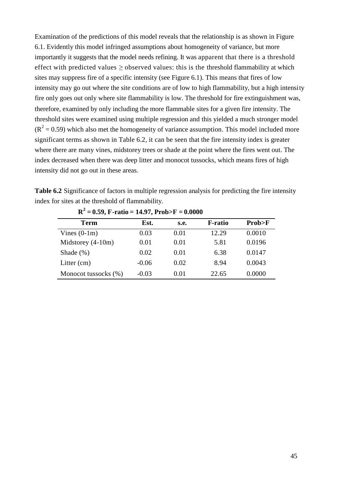Examination of the predictions of this model reveals that the relationship is as shown in Figure 6.1. Evidently this model infringed assumptions about homogeneity of variance, but more importantly it suggests that the model needs refining. It was apparent that there is a threshold effect with predicted values  $\geq$  observed values: this is the threshold flammability at which sites may suppress fire of a specific intensity (see Figure 6.1). This means that fires of low intensity may go out where the site conditions are of low to high flammability, but a high intensity fire only goes out only where site flammability is low. The threshold for fire extinguishment was, therefore, examined by only including the more flammable sites for a given fire intensity. The threshold sites were examined using multiple regression and this yielded a much stronger model  $(R<sup>2</sup> = 0.59)$  which also met the homogeneity of variance assumption. This model included more significant terms as shown in Table 6.2, it can be seen that the fire intensity index is greater where there are many vines, midstorey trees or shade at the point where the fires went out. The index decreased when there was deep litter and monocot tussocks, which means fires of high intensity did not go out in these areas.

**Table 6.2** Significance of factors in multiple regression analysis for predicting the fire intensity index for sites at the threshold of flammability.

| <b>Term</b>          | Est.    | <b>s.e.</b> | <b>F-ratio</b> | Prob>F |
|----------------------|---------|-------------|----------------|--------|
| Vines $(0-1m)$       | 0.03    | 0.01        | 12.29          | 0.0010 |
| Midstorey $(4-10m)$  | 0.01    | 0.01        | 5.81           | 0.0196 |
| Shade $(\% )$        | 0.02    | 0.01        | 6.38           | 0.0147 |
| Litter $(cm)$        | $-0.06$ | 0.02        | 8.94           | 0.0043 |
| Monocot tussocks (%) | $-0.03$ | 0.01        | 22.65          | 0.0000 |

**R 2 = 0.59, F-ratio = 14.97, Prob>F = 0.0000**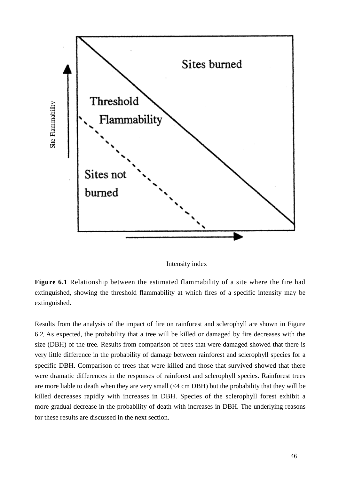

Intensity index

**Figure 6.1** Relationship between the estimated flammability of a site where the fire had extinguished, showing the threshold flammability at which fires of a specific intensity may be extinguished.

Results from the analysis of the impact of fire on rainforest and sclerophyll are shown in Figure 6.2. As expected, the probability that a tree will be killed or damaged by fire decreases with the size (DBH) of the tree. Results from comparison of trees that were damaged showed that there is very little difference in the probability of damage between rainforest and sclerophyll species for a specific DBH. Comparison of trees that were killed and those that survived showed that there were dramatic differences in the responses of rainforest and sclerophyll species. Rainforest trees are more liable to death when they are very small (<4 cm DBH) but the probability that they will be killed decreases rapidly with increases in DBH. Species of the sclerophyll forest exhibit a more gradual decrease in the probability of death with increases in DBH. The underlying reasons for these results are discussed in the next section.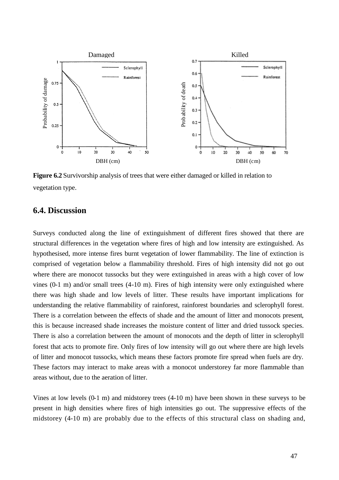

**Figure 6.2** Survivorship analysis of trees that were either damaged or killed in relation to vegetation type.

#### **6.4. Discussion**

Surveys conducted along the line of extinguishment of different fires showed that there are structural differences in the vegetation where fires of high and low intensity are extinguished. As hypothesised, more intense fires burnt vegetation of lower flammability. The line of extinction is comprised of vegetation below a flammability threshold. Fires of high intensity did not go out where there are monocot tussocks but they were extinguished in areas with a high cover of low vines (0-1 m) and/or small trees (4-10 m). Fires of high intensity were only extinguished where there was high shade and low levels of litter. These results have important implications for understanding the relative flammability of rainforest, rainforest boundaries and sclerophyll forest. There is a correlation between the effects of shade and the amount of litter and monocots present, this is because increased shade increases the moisture content of litter and dried tussock species. There is also a correlation between the amount of monocots and the depth of litter in sclerophyll forest that acts to promote fire. Only fires of low intensity will go out where there are high levels of litter and monocot tussocks, which means these factors promote fire spread when fuels are dry. These factors may interact to make areas with a monocot understorey far more flammable than areas without, due to the aeration of litter.

Vines at low levels (0-1 m) and midstorey trees (4-10 m) have been shown in these surveys to be present in high densities where fires of high intensities go out. The suppressive effects of the midstorey (4-10 m) are probably due to the effects of this structural class on shading and,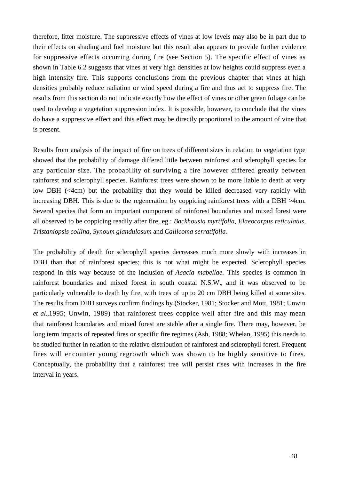therefore, litter moisture. The suppressive effects of vines at low levels may also be in part due to their effects on shading and fuel moisture but this result also appears to provide further evidence for suppressive effects occurring during fire (see Section 5). The specific effect of vines as shown in Table 6.2 suggests that vines at very high densities at low heights could suppress even a high intensity fire. This supports conclusions from the previous chapter that vines at high densities probably reduce radiation or wind speed during a fire and thus act to suppress fire. The results from this section do not indicate exactly how the effect of vines or other green foliage can be used to develop a vegetation suppression index. It is possible, however, to conclude that the vines do have a suppressive effect and this effect may be directly proportional to the amount of vine that is present.

Results from analysis of the impact of fire on trees of different sizes in relation to vegetation type showed that the probability of damage differed little between rainforest and sclerophyll species for any particular size. The probability of surviving a fire however differed greatly between rainforest and sclerophyll species. Rainforest trees were shown to be more liable to death at very low DBH (<4cm) but the probability that they would be killed decreased very rapidly with increasing DBH. This is due to the regeneration by coppicing rainforest trees with a DBH >4cm. Several species that form an important component of rainforest boundaries and mixed forest were all observed to be coppicing readily after fire, eg.: *Backhousia myrtifolia, Elaeocarpus reticulatus, Tristaniopsis collina, Synoum glandulosum* and *Callicoma serratifolia.*

The probability of death for sclerophyll species decreases much more slowly with increases in DBH than that of rainforest species; this is not what might be expected. Sclerophyll species respond in this way because of the inclusion of *Acacia mabellae.* This species is common in rainforest boundaries and mixed forest in south coastal N.S.W., and it was observed to be particularly vulnerable to death by fire, with trees of up to 20 cm DBH being killed at some sites. The results from DBH surveys confirm findings by (Stocker, 1981; Stocker and Mott, 1981; Unwin *et al.,*1995; Unwin, 1989) that rainforest trees coppice well after fire and this may mean that rainforest boundaries and mixed forest are stable after a single fire. There may, however, be long term impacts of repeated fires or specific fire regimes (Ash, 1988; Whelan, 1995) this needs to be studied further in relation to the relative distribution of rainforest and sclerophyll forest. Frequent fires will encounter young regrowth which was shown to be highly sensitive to fires. Conceptually, the probability that a rainforest tree will persist rises with increases in the fire interval in years.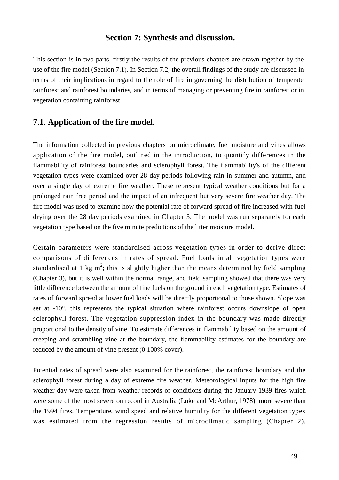#### **Section 7: Synthesis and discussion.**

This section is in two parts, firstly the results of the previous chapters are drawn together by the use of the fire model (Section 7.1). In Section 7.2, the overall findings of the study are discussed in terms of their implications in regard to the role of fire in governing the distribution of temperate rainforest and rainforest boundaries, and in terms of managing or preventing fire in rainforest or in vegetation containing rainforest.

#### **7.1. Application of the fire model.**

The information collected in previous chapters on microclimate, fuel moisture and vines allows application of the fire model, outlined in the introduction, to quantify differences in the flammability of rainforest boundaries and sclerophyll forest. The flammability's of the different vegetation types were examined over 28 day periods following rain in summer and autumn, and over a single day of extreme fire weather. These represent typical weather conditions but for a prolonged rain free period and the impact of an infrequent but very severe fire weather day. The fire model was used to examine how the potential rate of forward spread of fire increased with fuel drying over the 28 day periods examined in Chapter 3. The model was run separately for each vegetation type based on the five minute predictions of the litter moisture model.

Certain parameters were standardised across vegetation types in order to derive direct comparisons of differences in rates of spread. Fuel loads in all vegetation types were standardised at 1 kg m<sup>2</sup>; this is slightly higher than the means determined by field sampling (Chapter 3), but it is well within the normal range, and field sampling showed that there was very little difference between the amount of fine fuels on the ground in each vegetation type. Estimates of rates of forward spread at lower fuel loads will be directly proportional to those shown. Slope was set at -10°, this represents the typical situation where rainforest occurs downslope of open sclerophyll forest. The vegetation suppression index in the boundary was made directly proportional to the density of vine. To estimate differences in flammability based on the amount of creeping and scrambling vine at the boundary, the flammability estimates for the boundary are reduced by the amount of vine present (0-100% cover).

Potential rates of spread were also examined for the rainforest, the rainforest boundary and the sclerophyll forest during a day of extreme fire weather. Meteorological inputs for the high fire weather day were taken from weather records of conditions during the January 1939 fires which were some of the most severe on record in Australia (Luke and McArthur, 1978), more severe than the 1994 fires. Temperature, wind speed and relative humidity for the different vegetation types was estimated from the regression results of microclimatic sampling (Chapter 2).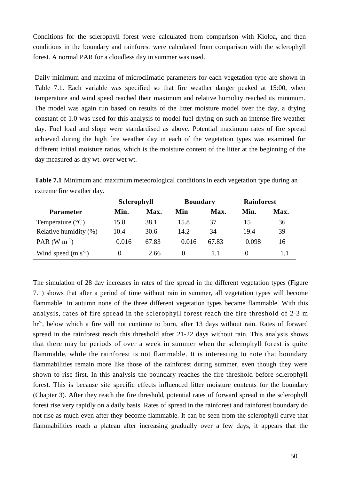Conditions for the sclerophyll forest were calculated from comparison with Kioloa, and then conditions in the boundary and rainforest were calculated from comparison with the sclerophyll forest. A normal PAR for a cloudless day in summer was used.

Daily minimum and maxima of microclimatic parameters for each vegetation type are shown in Table 7.1. Each variable was specified so that fire weather danger peaked at 15:00, when temperature and wind speed reached their maximum and relative humidity reached its minimum. The model was again run based on results of the litter moisture model over the day, a drying constant of 1.0 was used for this analysis to model fuel drying on such an intense fire weather day. Fuel load and slope were standardised as above. Potential maximum rates of fire spread achieved during the high fire weather day in each of the vegetation types was examined for different initial moisture ratios, which is the moisture content of the litter at the beginning of the day measured as dry wt. over wet wt.

**Table 7.1** Minimum and maximum meteorological conditions in each vegetation type during an extreme fire weather day.

|                           | Sclerophyll |       | <b>Boundary</b> |       | <b>Rainforest</b> |      |
|---------------------------|-------------|-------|-----------------|-------|-------------------|------|
| <b>Parameter</b>          | Min.        | Max.  | Min             | Max.  | Min.              | Max. |
| Temperature $(^{\circ}C)$ | 15.8        | 38.1  | 15.8            | 37    | 15                | 36   |
| Relative humidity (%)     | 10.4        | 30.6  | 14.2            | 34    | 19.4              | 39   |
| PAR $(W m^{-1})$          | 0.016       | 67.83 | 0.016           | 67.83 | 0.098             | 16   |
| Wind speed $(m s-1)$      |             | 2.66  | $\theta$        |       |                   | 1.1  |

The simulation of 28 day increases in rates of fire spread in the different vegetation types (Figure 7.1) shows that after a period of time without rain in summer, all vegetation types will become flammable. In autumn none of the three different vegetation types became flammable. With this analysis, rates of fire spread in the sclerophyll forest reach the fire threshold of 2-3 m hr<sup>-1</sup>, below which a fire will not continue to burn, after 13 days without rain. Rates of forward spread in the rainforest reach this threshold after 21-22 days without rain. This analysis shows that there may be periods of over a week in summer when the sclerophyll forest is quite flammable, while the rainforest is not flammable. It is interesting to note that boundary flammabilities remain more like those of the rainforest during summer, even though they were shown to rise first. In this analysis the boundary reaches the fire threshold before sclerophyll forest. This is because site specific effects influenced litter moisture contents for the boundary (Chapter 3). After they reach the fire threshold, potential rates of forward spread in the sclerophyll forest rise very rapidly on a daily basis. Rates of spread in the rainforest and rainforest boundary do not rise as much even after they become flammable. It can be seen from the sclerophyll curve that flammabilities reach a plateau after increasing gradually over a few days, it appears that the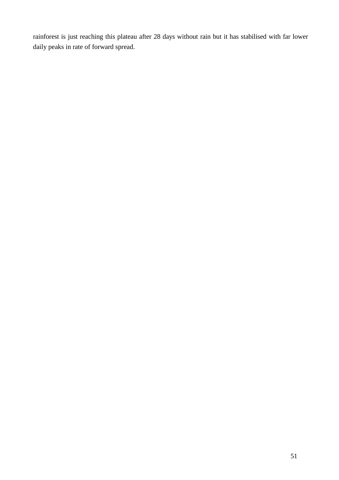rainforest is just reaching this plateau after 28 days without rain but it has stabilised with far lower daily peaks in rate of forward spread.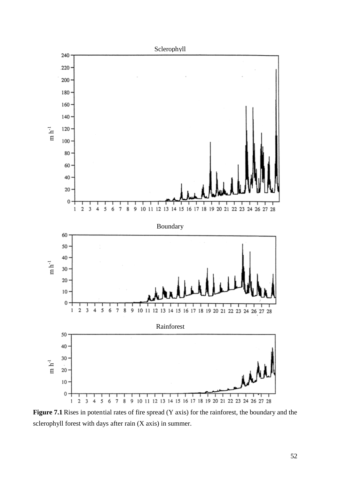

**Figure 7.1** Rises in potential rates of fire spread (Y axis) for the rainforest, the boundary and the sclerophyll forest with days after rain (X axis) in summer.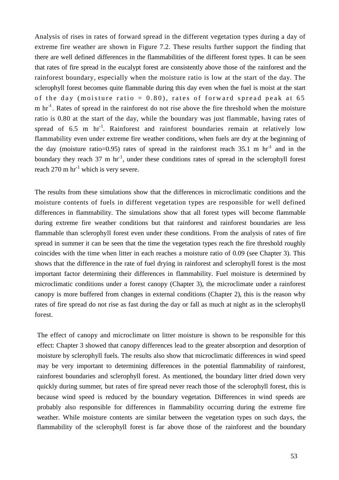Analysis of rises in rates of forward spread in the different vegetation types during a day of extreme fire weather are shown in Figure 7.2. These results further support the finding that there are well defined differences in the flammabilities of the different forest types. It can be seen that rates of fire spread in the eucalypt forest are consistently above those of the rainforest and the rainforest boundary, especially when the moisture ratio is low at the start of the day. The sclerophyll forest becomes quite flammable during this day even when the fuel is moist at the start of the day (moisture ratio =  $0.80$ ), rates of forward spread peak at 65  $m \ hr^{-1}$ . Rates of spread in the rainforest do not rise above the fire threshold when the moisture ratio is 0.80 at the start of the day, while the boundary was just flammable, having rates of spread of 6.5 m  $hr^{-1}$ . Rainforest and rainforest boundaries remain at relatively low flammability even under extreme fire weather conditions, when fuels are dry at the beginning of the day (moisture ratio=0.95) rates of spread in the rainforest reach  $35.1 \text{ m hr}^{-1}$  and in the boundary they reach 37 m hr<sup>-1</sup>, under these conditions rates of spread in the sclerophyll forest reach  $270 \text{ m hr}^{-1}$  which is very severe.

The results from these simulations show that the differences in microclimatic conditions and the moisture contents of fuels in different vegetation types are responsible for well defined differences in flammability. The simulations show that all forest types will become flammable during extreme fire weather conditions but that rainforest and rainforest boundaries are less flammable than sclerophyll forest even under these conditions. From the analysis of rates of fire spread in summer it can be seen that the time the vegetation types reach the fire threshold roughly coincides with the time when litter in each reaches a moisture ratio of 0.09 (see Chapter 3). This shows that the difference in the rate of fuel drying in rainforest and sclerophyll forest is the most important factor determining their differences in flammability. Fuel moisture is determined by microclimatic conditions under a forest canopy (Chapter 3), the microclimate under a rainforest canopy is more buffered from changes in external conditions (Chapter 2), this is the reason why rates of fire spread do not rise as fast during the day or fall as much at night as in the sclerophyll forest.

The effect of canopy and microclimate on litter moisture is shown to be responsible for this effect: Chapter 3 showed that canopy differences lead to the greater absorption and desorption of moisture by sclerophyll fuels. The results also show that microclimatic differences in wind speed may be very important to determining differences in the potential flammability of rainforest, rainforest boundaries and sclerophyll forest. As mentioned, the boundary litter dried down very quickly during summer, but rates of fire spread never reach those of the sclerophyll forest, this is because wind speed is reduced by the boundary vegetation. Differences in wind speeds are probably also responsible for differences in flammability occurring during the extreme fire weather. While moisture contents are similar between the vegetation types on such days, the flammability of the sclerophyll forest is far above those of the rainforest and the boundary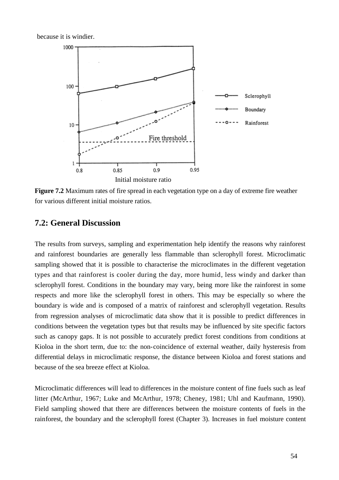because it is windier.



**Figure 7.2** Maximum rates of fire spread in each vegetation type on a day of extreme fire weather for various different initial moisture ratios.

#### **7.2: General Discussion**

The results from surveys, sampling and experimentation help identify the reasons why rainforest and rainforest boundaries are generally less flammable than sclerophyll forest. Microclimatic sampling showed that it is possible to characterise the microclimates in the different vegetation types and that rainforest is cooler during the day, more humid, less windy and darker than sclerophyll forest. Conditions in the boundary may vary, being more like the rainforest in some respects and more like the sclerophyll forest in others. This may be especially so where the boundary is wide and is composed of a matrix of rainforest and sclerophyll vegetation. Results from regression analyses of microclimatic data show that it is possible to predict differences in conditions between the vegetation types but that results may be influenced by site specific factors such as canopy gaps. It is not possible to accurately predict forest conditions from conditions at Kioloa in the short term, due to: the non-coincidence of external weather, daily hysteresis from differential delays in microclimatic response, the distance between Kioloa and forest stations and because of the sea breeze effect at Kioloa.

Microclimatic differences will lead to differences in the moisture content of fine fuels such as leaf litter (McArthur, 1967; Luke and McArthur, 1978; Cheney, 1981; Uhl and Kaufmann, 1990). Field sampling showed that there are differences between the moisture contents of fuels in the rainforest, the boundary and the sclerophyll forest (Chapter 3). Increases in fuel moisture content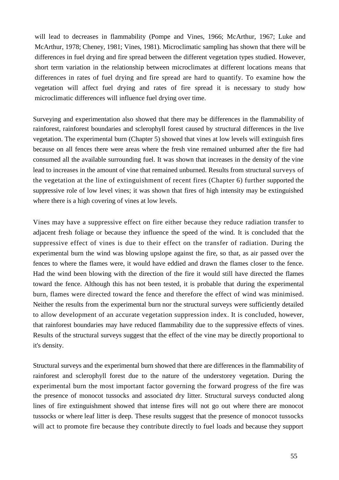will lead to decreases in flammability (Pompe and Vines, 1966; McArthur, 1967; Luke and McArthur, 1978; Cheney, 1981; Vines, 1981). Microclimatic sampling has shown that there will be differences in fuel drying and fire spread between the different vegetation types studied. However, short term variation in the relationship between microclimates at different locations means that differences in rates of fuel drying and fire spread are hard to quantify. To examine how the vegetation will affect fuel drying and rates of fire spread it is necessary to study how microclimatic differences will influence fuel drying over time.

Surveying and experimentation also showed that there may be differences in the flammability of rainforest, rainforest boundaries and sclerophyll forest caused by structural differences in the live vegetation. The experimental burn (Chapter 5) showed that vines at low levels will extinguish fires because on all fences there were areas where the fresh vine remained unburned after the fire had consumed all the available surrounding fuel. It was shown that increases in the density of the vine lead to increases in the amount of vine that remained unburned. Results from structural surveys of the vegetation at the line of extinguishment of recent fires (Chapter 6) further supported the suppressive role of low level vines; it was shown that fires of high intensity may be extinguished where there is a high covering of vines at low levels.

Vines may have a suppressive effect on fire either because they reduce radiation transfer to adjacent fresh foliage or because they influence the speed of the wind. It is concluded that the suppressive effect of vines is due to their effect on the transfer of radiation. During the experimental burn the wind was blowing upslope against the fire, so that, as air passed over the fences to where the flames were, it would have eddied and drawn the flames closer to the fence. Had the wind been blowing with the direction of the fire it would still have directed the flames toward the fence. Although this has not been tested, it is probable that during the experimental burn, flames were directed toward the fence and therefore the effect of wind was minimised. Neither the results from the experimental burn nor the structural surveys were sufficiently detailed to allow development of an accurate vegetation suppression index. It is concluded, however, that rainforest boundaries may have reduced flammability due to the suppressive effects of vines. Results of the structural surveys suggest that the effect of the vine may be directly proportional to it's density.

Structural surveys and the experimental burn showed that there are differences in the flammability of rainforest and sclerophyll forest due to the nature of the understorey vegetation. During the experimental burn the most important factor governing the forward progress of the fire was the presence of monocot tussocks and associated dry litter. Structural surveys conducted along lines of fire extinguishment showed that intense fires will not go out where there are monocot tussocks or where leaf litter is deep. These results suggest that the presence of monocot tussocks will act to promote fire because they contribute directly to fuel loads and because they support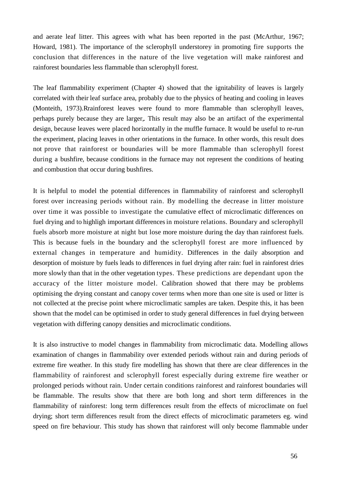and aerate leaf litter. This agrees with what has been reported in the past (McArthur, 1967; Howard, 1981). The importance of the sclerophyll understorey in promoting fire supports the conclusion that differences in the nature of the live vegetation will make rainforest and rainforest boundaries less flammable than sclerophyll forest.

The leaf flammability experiment (Chapter 4) showed that the ignitability of leaves is largely correlated with their leaf surface area, probably due to the physics of heating and cooling in leaves (Monteith, 1973).Rrainforest leaves were found to more flammable than sclerophyll leaves, perhaps purely because they are larger,. This result may also be an artifact of the experimental design, because leaves were placed horizontally in the muffle furnace. It would be useful to re-run the experiment, placing leaves in other orientations in the furnace. In other words, this result does not prove that rainforest or boundaries will be more flammable than sclerophyll forest during a bushfire, because conditions in the furnace may not represent the conditions of heating and combustion that occur during bushfires.

It is helpful to model the potential differences in flammability of rainforest and sclerophyll forest over increasing periods without rain. By modelling the decrease in litter moisture over time it was possible to investigate the cumulative effect of microclimatic differences on fuel drying and to highligh important differencesin moisture relations. Boundary and sclerophyll fuels absorb more moisture at night but lose more moisture during the day than rainforest fuels. This is because fuels in the boundary and the sclerophyll forest are more influenced by external changes in temperature and humidity. Differences in the daily absorption and desorption of moisture by fuels leads to differences in fuel drying after rain: fuel in rainforest dries more slowly than that in the other vegetation types. These predictions are dependant upon the accuracy of the litter moisture model. Calibration showed that there may be problems optimising the drying constant and canopy cover terms when more than one site is used or litter is not collected at the precise point where microclimatic samples are taken. Despite this, it has been shown that the model can be optimised in order to study general differences in fuel drying between vegetation with differing canopy densities and microclimatic conditions.

It is also instructive to model changes in flammability from microclimatic data. Modelling allows examination of changes in flammability over extended periods without rain and during periods of extreme fire weather. In this study fire modelling has shown that there are clear differences in the flammability of rainforest and sclerophyll forest especially during extreme fire weather or prolonged periods without rain. Under certain conditions rainforest and rainforest boundaries will be flammable. The results show that there are both long and short term differences in the flammability of rainforest: long term differences result from the effects of microclimate on fuel drying; short term differences result from the direct effects of microclimatic parameters eg. wind speed on fire behaviour. This study has shown that rainforest will only become flammable under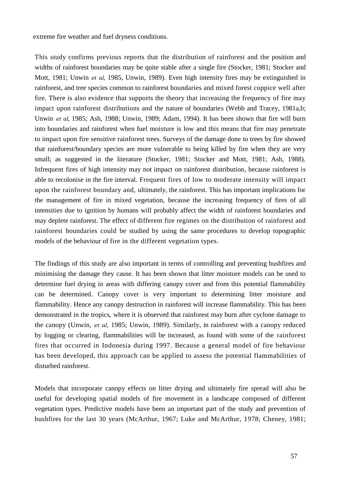extreme fire weather and fuel dryness conditions.

This study confirms previous reports that the distribution of rainforest and the position and widths of rainforest boundaries may be quite stable after a single fire (Stocker, 1981; Stocker and Mott, 1981; Unwin *et al,* 1985, Unwin, 1989). Even high intensity fires may be extinguished in rainforest, and tree species common to rainforest boundaries and mixed forest coppice well after fire. There is also evidence that supports the theory that increasing the frequency of fire may impact upon rainforest distributions and the nature of boundaries (Webb and Tracey, 1981a,b; Unwin *et al,* 1985; Ash, 1988; Unwin, 1989; Adam, 1994). It has been shown that fire will burn into boundaries and rainforest when fuel moisture is low and this means that fire may penetrate to impact upon fire sensitive rainforest trees. Surveys of the damage done to trees by fire showed that rainforest/boundary species are more vulnerable to being killed by fire when they are very small; as suggested in the literature (Stocker, 1981; Stocker and Mott, 1981; Ash, 1988). Infrequent fires of high intensity may not impact on rainforest distribution, because rainforest is able to recolonise in the fire interval. Frequent fires of low to moderate intensity will impact upon the rainforest boundary and, ultimately, the rainforest. This has important implications for the management of fire in mixed vegetation, because the increasing frequency of fires of all intensities due to ignition by humans will probably affect the width of rainforest boundaries and may deplete rainforest. The effect of different fire regimes on the distribution of rainforest and rainforest boundaries could be studied by using the same procedures to develop topographic models of the behaviour of fire in the different vegetation types.

The findings of this study are also important in terms of controlling and preventing bushfires and minimising the damage they cause. It has been shown that litter moisture models can be used to determine fuel drying in areas with differing canopy cover and from this potential flammability can be determined. Canopy cover is very important to determining litter moisture and flammability. Hence any canopy destruction in rainforest will increase flammability. This has been demonstrated in the tropics, where it is observed that rainforest may burn after cyclone damage to the canopy (Unwin, *et al,* 1985; Unwin, 1989). Similarly, in rainforest with a canopy reduced by logging or clearing, flammabilities will be increased, as found with some of the rainforest fires that occurred in Indonesia during 1997. Because a general model of fire behaviour has been developed, this approach can be applied to assess the potential flammabilities of disturbed rainforest.

Models that incorporate canopy effects on litter drying and ultimately fire spread will also be useful for developing spatial models of fire movement in a landscape composed of different vegetation types. Predictive models have been an important part of the study and prevention of bushfires for the last 30 years (McArthur, 1967; Luke and McArthur, 1978; Cheney, 1981;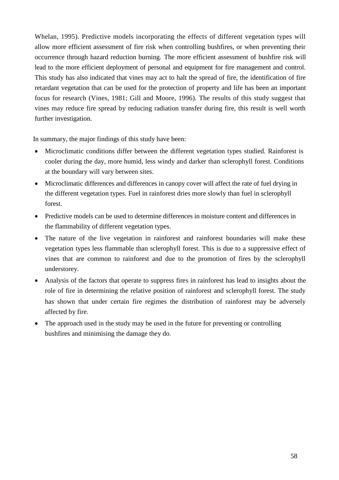Whelan, 1995). Predictive models incorporating the effects of different vegetation types will allow more efficient assessment of fire risk when controlling bushfires, or when preventing their occurrence through hazard reduction burning. The more efficient assessment of bushfire risk will lead to the more efficient deployment of personal and equipment for fire management and control. This study has also indicated that vines may act to halt the spread of fire, the identification of fire retardant vegetation that can be used for the protection of property and life has been an important focus for research (Vines, 1981; Gill and Moore, 1996). The results of this study suggest that vines may reduce fire spread by reducing radiation transfer during fire, this result is well worth further investigation.

In summary, the major findings of this study have been:

- Microclimatic conditions differ between the different vegetation types studied. Rainforest is cooler during the day, more humid, less windy and darker than sclerophyll forest. Conditions at the boundary will vary between sites.
- Microclimatic differences and differences in canopy cover will affect the rate of fuel drying in the different vegetation types. Fuel in rainforest dries more slowly than fuel in sclerophyll forest.
- Predictive models can be used to determine differences in moisture content and differences in the flammability of different vegetation types.
- The nature of the live vegetation in rainforest and rainforest boundaries will make these vegetation types less flammable than sclerophyll forest. This is due to a suppressive effect of vines that are common to rainforest and due to the promotion of fires by the sclerophyll understorey.
- Analysis of the factors that operate to suppress fires in rainforest has lead to insights about the role of fire in determining the relative position of rainforest and sclerophyll forest. The study has shown that under certain fire regimes the distribution of rainforest may be adversely affected by fire.
- The approach used in the study may be used in the future for preventing or controlling bushfires and minimising the damage they do.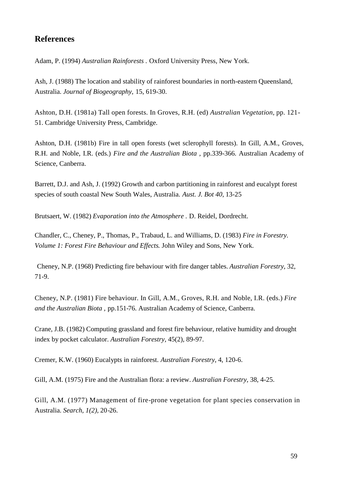# **References**

Adam, P. (1994) *Australian Rainforests .* Oxford University Press, New York.

Ash, J. (1988) The location and stability of rainforest boundaries in north-eastern Queensland, Australia. *Journal of Biogeography,* 15, 619-30.

Ashton, D.H. (1981a) Tall open forests. In Groves, R.H. (ed) *Australian Vegetation,* pp. 121- 51. Cambridge University Press, Cambridge.

Ashton, D.H. (1981b) Fire in tall open forests (wet sclerophyll forests). In Gill, A.M., Groves, R.H. and Noble, I.R. (eds.) *Fire and the Australian Biota ,* pp.339-366. Australian Academy of Science, Canberra.

Barrett, D.J. and Ash, J. (1992) Growth and carbon partitioning in rainforest and eucalypt forest species of south coastal New South Wales, Australia. *Aust. J. Bot 40,* 13-25

Brutsaert, W. (1982) *Evaporation into the Atmosphere .* D. Reidel, Dordrecht.

Chandler, C., Cheney, P., Thomas, P., Trabaud, L. and Williams, D. (1983) *Fire in Forestry. Volume 1: Forest Fire Behaviour and Effects.* John Wiley and Sons, New York.

Cheney, N.P. (1968) Predicting fire behaviour with fire danger tables. *Australian Forestry,* 32, 71-9.

Cheney, N.P. (1981) Fire behaviour. In Gill, A.M., Groves, R.H. and Noble, I.R. (eds.) *Fire and the Australian Biota ,* pp.151-76. Australian Academy of Science, Canberra.

Crane, J.B. (1982) Computing grassland and forest fire behaviour, relative humidity and drought index by pocket calculator. *Australian Forestry,* 45(2), 89-97.

Cremer, K.W. (1960) Eucalypts in rainforest. *Australian Forestry,* 4, 120-6.

Gill, A.M. (1975) Fire and the Australian flora: a review. *Australian Forestry,* 38, 4-25.

Gill, A.M. (1977) Management of fire-prone vegetation for plant species conservation in Australia. *Search, 1(2),* 20-26.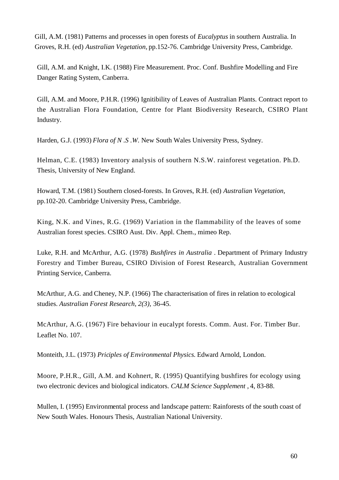Gill, A.M. (1981) Patterns and processes in open forests of *Eucalyptus* in southern Australia. In Groves, R.H. (ed) *Australian Vegetation,* pp.152-76. Cambridge University Press, Cambridge.

Gill, A.M. and Knight, I.K. (1988) Fire Measurement. Proc. Conf. Bushfire Modelling and Fire Danger Rating System, Canberra.

Gill, A.M. and Moore, P.H.R. (1996) Ignitibility of Leaves of Australian Plants. Contract report to the Australian Flora Foundation, Centre for Plant Biodiversity Research, CSIRO Plant Industry.

Harden, G.J. (1993) *Flora of N .S .W.* New South Wales University Press, Sydney.

Helman, C.E. (1983) Inventory analysis of southern N.S.W. rainforest vegetation. Ph.D. Thesis, University of New England.

Howard, T.M. (1981) Southern closed-forests. In Groves, R.H. (ed) *Australian Vegetation,* pp.102-20. Cambridge University Press, Cambridge.

King, N.K. and Vines, R.G. (1969) Variation in the flammability of the leaves of some Australian forest species. CSIRO Aust. Div. Appl. Chem., mimeo Rep.

Luke, R.H. and McArthur, A.G. (1978) *Bushfires in Australia .* Department of Primary Industry Forestry and Timber Bureau, CSIRO Division of Forest Research, Australian Government Printing Service, Canberra.

McArthur, A.G. and Cheney, N.P. (1966) The characterisation of fires in relation to ecological studies. *Australian Forest Research, 2(3),* 36-45.

McArthur, A.G. (1967) Fire behaviour in eucalypt forests. Comm. Aust. For. Timber Bur. Leaflet No. 107.

Monteith, J.L. (1973) *Priciples of Environmental Physics.* Edward Arnold, London.

Moore, P.H.R., Gill, A.M. and Kohnert, R. (1995) Quantifying bushfires for ecology using two electronic devices and biological indicators. *CALM Science Supplement ,* 4, 83-88.

Mullen, I. (1995) Environmental process and landscape pattern: Rainforests of the south coast of New South Wales. Honours Thesis, Australian National University.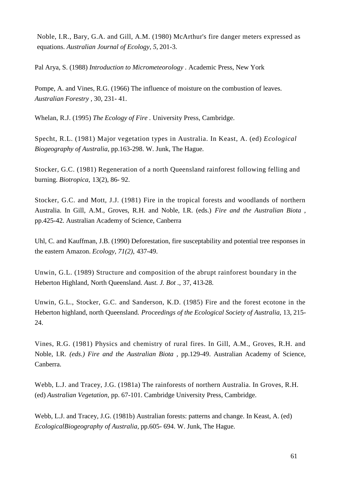Noble, I.R., Bary, G.A. and Gill, A.M. (1980) McArthur's fire danger meters expressed as equations. *Australian Journal of Ecology, 5,* 201-3.

Pal Arya, S. (1988) *Introduction to Micrometeorology .* Academic Press, New York

Pompe, A. and Vines, R.G. (1966) The influence of moisture on the combustion of leaves. *Australian Forestry ,* 30, 231- 41.

Whelan, R.J. (1995) *The Ecology of Fire .* University Press, Cambridge.

Specht, R.L. (1981) Major vegetation types in Australia. In Keast, A. (ed) *Ecological Biogeography of Australia,* pp.163-298. W. Junk, The Hague.

Stocker, G.C. (1981) Regeneration of a north Queensland rainforest following felling and burning. *Biotropica,* 13(2), 86- 92.

Stocker, G.C. and Mott, J.J. (1981) Fire in the tropical forests and woodlands of northern Australia. In Gill, A.M., Groves, R.H. and Noble, I.R. (eds.) *Fire and the Australian Biota ,* pp.425-42. Australian Academy of Science, Canberra

Uhl, C. and Kauffman, J.B. (1990) Deforestation, fire susceptability and potential tree responses in the eastern Amazon. *Ecology, 71(2),* 437-49.

Unwin, G.L. (1989) Structure and composition of the abrupt rainforest boundary in the Heberton Highland, North Queensland. *Aust. J. Bot .,* 37, 413-28.

Unwin, G.L., Stocker, G.C. and Sanderson, K.D. (1985) Fire and the forest ecotone in the Heberton highland, north Queensland. *Proceedings of the Ecological Society of Australia,* 13, 215- 24.

Vines, R.G. (1981) Physics and chemistry of rural fires. In Gill, A.M., Groves, R.H. and Noble, I.R. *(eds.) Fire and the Australian Biota ,* pp.129-49. Australian Academy of Science, Canberra.

Webb, L.J. and Tracey, J.G. (1981a) The rainforests of northern Australia. In Groves, R.H. (ed) *Australian Vegetation,* pp. 67-101. Cambridge University Press, Cambridge.

Webb, L.J. and Tracey, J.G. (1981b) Australian forests: patterns and change. In Keast, A. (ed) *EcologicalBiogeography of Australia,* pp.605- 694. W. Junk, The Hague.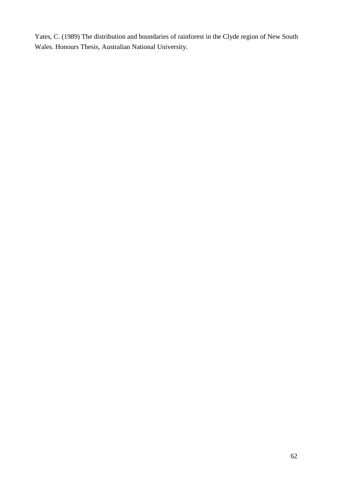Yates, C. (1989) The distribution and boundaries of rainforest in the Clyde region of New South Wales. Honours Thesis, Australian National University.